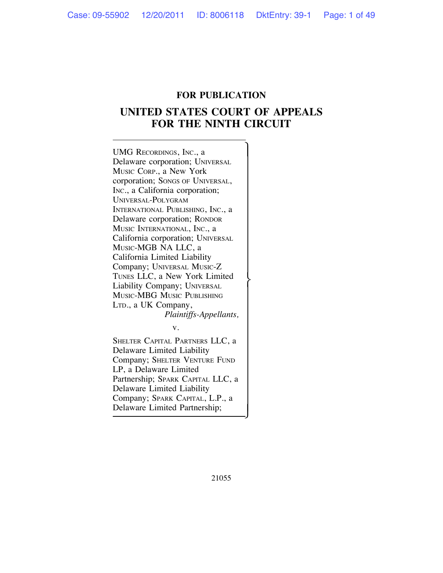# **FOR PUBLICATION**

# **UNITED STATES COURT OF APPEALS FOR THE NINTH CIRCUIT**

UMG RECORDINGS, INC., a Delaware corporation; UNIVERSAL MUSIC CORP., a New York corporation; SONGS OF UNIVERSAL, INC., a California corporation; UNIVERSAL-POLYGRAM INTERNATIONAL PUBLISHING, INC., a Delaware corporation; RONDOR MUSIC INTERNATIONAL, INC., a California corporation; UNIVERSAL MUSIC-MGB NA LLC, a California Limited Liability Company; UNIVERSAL MUSIC-Z TUNES LLC, a New York Limited<br>Liability Company; UNIVERSAL MUSIC-MBG MUSIC PUBLISHING LTD., a UK Company, *Plaintiffs-Appellants,* v. SHELTER CAPITAL PARTNERS LLC, a Delaware Limited Liability Company; SHELTER VENTURE FUND LP, a Delaware Limited Partnership; SPARK CAPITAL LLC, a

Delaware Limited Liability Company; SPARK CAPITAL, L.P., a Delaware Limited Partnership;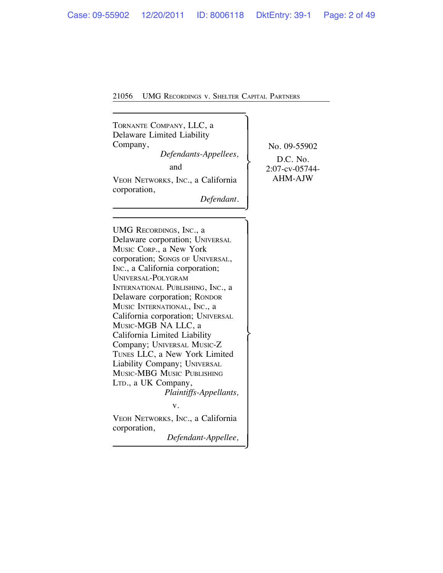TORNANTE COMPANY, LLC, a ! Delaware Limited Liability Company, No. 09-55902 *Defendants-Appellees,*<br>and  $\left\{\n\begin{array}{c}\n\text{D.C. No.} \\
2.07-\text{cv-05744-}\n\end{array}\n\right\}$ VEOH NETWORKS, INC., a California | AHM-AJW corporation,  $Define$ UMG RECORDINGS, INC., a Delaware corporation; UNIVERSAL MUSIC CORP., a New York corporation; SONGS OF UNIVERSAL, INC., a California corporation; UNIVERSAL-POLYGRAM

INTERNATIONAL PUBLISHING, INC., a Delaware corporation; RONDOR MUSIC INTERNATIONAL, INC., a California corporation; UNIVERSAL MUSIC-MGB NA LLC, a California Limited Liability Company; UNIVERSAL MUSIC-Z TUNES LLC, a New York Limited Liability Company; UNIVERSAL MUSIC-MBG MUSIC PUBLISHING LTD., a UK Company, *Plaintiffs-Appellants,* v. VEOH NETWORKS, INC., a California corporation,

 $Define that$ -Appellee,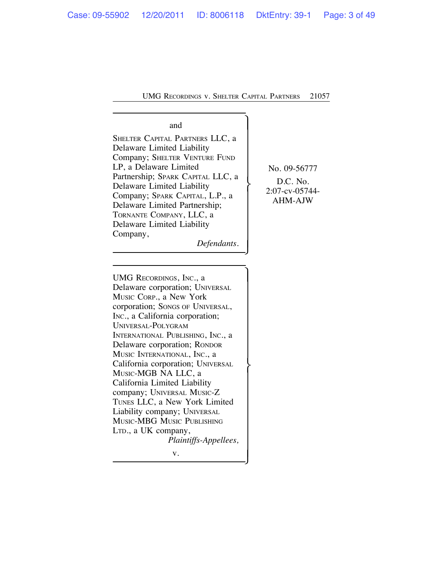# and  $\qquad \qquad \begin{array}{c} \end{array}$

SHELTER CAPITAL PARTNERS LLC, a Delaware Limited Liability Company; SHELTER VENTURE FUND LP, a Delaware Limited<br>Partnership; SPARK CAPITAL LLC, a Partnership; SPARK CAPITAL LLC, a D.C. No.<br>
Delaware Limited Liability 2:07-cv-05744-<br>
Delaware Limited Partnership; AHM-AJW TORNANTE COMPANY, LLC, a Delaware Limited Liability Company,  $Defendants.$ 

UMG RECORDINGS, INC., a Delaware corporation; UNIVERSAL MUSIC CORP., a New York corporation; SONGS OF UNIVERSAL, INC., a California corporation; UNIVERSAL-POLYGRAM INTERNATIONAL PUBLISHING, INC., a Delaware corporation; RONDOR MUSIC INTERNATIONAL, INC., a California corporation; UNIVERSAL<br>MUSIC-MGB NA LLC, a California Limited Liability company; UNIVERSAL MUSIC-Z TUNES LLC, a New York Limited Liability company; UNIVERSAL MUSIC-MBG MUSIC PUBLISHING LTD., a UK company, *Plaintiffs-Appellees,*

 $\begin{bmatrix} v. & & & \\ & & & & \\ & & & & \end{bmatrix}$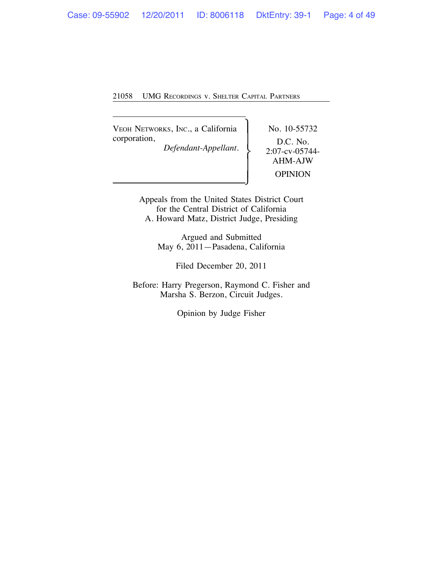VEOH NETWORKS, INC., a California | No. 10-55732 corporation,<br>Defendant-Appellant. D.C. No.<br>2:07-cv-05744-

 $Defendant-Appellant.$ 

AHM-AJW **OPINION** 

Appeals from the United States District Court for the Central District of California A. Howard Matz, District Judge, Presiding

> Argued and Submitted May 6, 2011—Pasadena, California

> > Filed December 20, 2011

Before: Harry Pregerson, Raymond C. Fisher and Marsha S. Berzon, Circuit Judges.

Opinion by Judge Fisher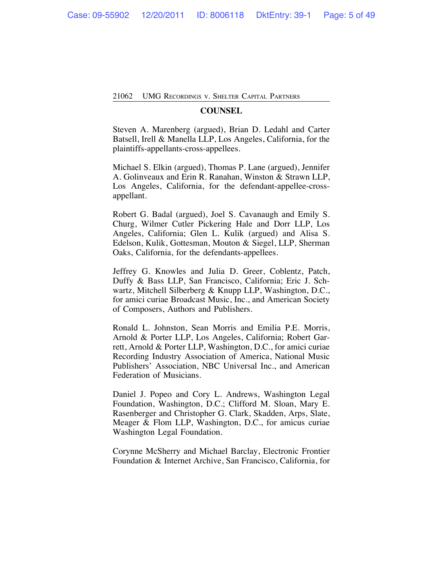# **COUNSEL**

Steven A. Marenberg (argued), Brian D. Ledahl and Carter Batsell, Irell & Manella LLP, Los Angeles, California, for the plaintiffs-appellants-cross-appellees.

Michael S. Elkin (argued), Thomas P. Lane (argued), Jennifer A. Golinveaux and Erin R. Ranahan, Winston & Strawn LLP, Los Angeles, California, for the defendant-appellee-crossappellant.

Robert G. Badal (argued), Joel S. Cavanaugh and Emily S. Churg, Wilmer Cutler Pickering Hale and Dorr LLP, Los Angeles, California; Glen L. Kulik (argued) and Alisa S. Edelson, Kulik, Gottesman, Mouton & Siegel, LLP, Sherman Oaks, California, for the defendants-appellees.

Jeffrey G. Knowles and Julia D. Greer, Coblentz, Patch, Duffy & Bass LLP, San Francisco, California; Eric J. Schwartz, Mitchell Silberberg & Knupp LLP, Washington, D.C., for amici curiae Broadcast Music, Inc., and American Society of Composers, Authors and Publishers.

Ronald L. Johnston, Sean Morris and Emilia P.E. Morris, Arnold & Porter LLP, Los Angeles, California; Robert Garrett, Arnold & Porter LLP, Washington, D.C., for amici curiae Recording Industry Association of America, National Music Publishers' Association, NBC Universal Inc., and American Federation of Musicians.

Daniel J. Popeo and Cory L. Andrews, Washington Legal Foundation, Washington, D.C.; Clifford M. Sloan, Mary E. Rasenberger and Christopher G. Clark, Skadden, Arps, Slate, Meager & Flom LLP, Washington, D.C., for amicus curiae Washington Legal Foundation.

Corynne McSherry and Michael Barclay, Electronic Frontier Foundation & Internet Archive, San Francisco, California, for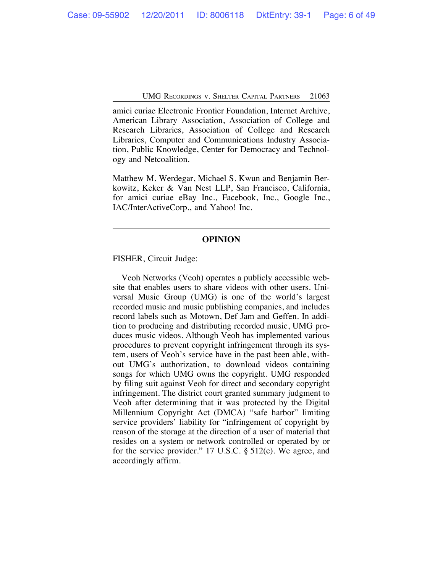amici curiae Electronic Frontier Foundation, Internet Archive, American Library Association, Association of College and Research Libraries, Association of College and Research Libraries, Computer and Communications Industry Association, Public Knowledge, Center for Democracy and Technology and Netcoalition.

Matthew M. Werdegar, Michael S. Kwun and Benjamin Berkowitz, Keker & Van Nest LLP, San Francisco, California, for amici curiae eBay Inc., Facebook, Inc., Google Inc., IAC/InterActiveCorp., and Yahoo! Inc.

### **OPINION**

FISHER, Circuit Judge:

Veoh Networks (Veoh) operates a publicly accessible website that enables users to share videos with other users. Universal Music Group (UMG) is one of the world's largest recorded music and music publishing companies, and includes record labels such as Motown, Def Jam and Geffen. In addition to producing and distributing recorded music, UMG produces music videos. Although Veoh has implemented various procedures to prevent copyright infringement through its system, users of Veoh's service have in the past been able, without UMG's authorization, to download videos containing songs for which UMG owns the copyright. UMG responded by filing suit against Veoh for direct and secondary copyright infringement. The district court granted summary judgment to Veoh after determining that it was protected by the Digital Millennium Copyright Act (DMCA) "safe harbor" limiting service providers' liability for "infringement of copyright by reason of the storage at the direction of a user of material that resides on a system or network controlled or operated by or for the service provider." 17 U.S.C. § 512(c). We agree, and accordingly affirm.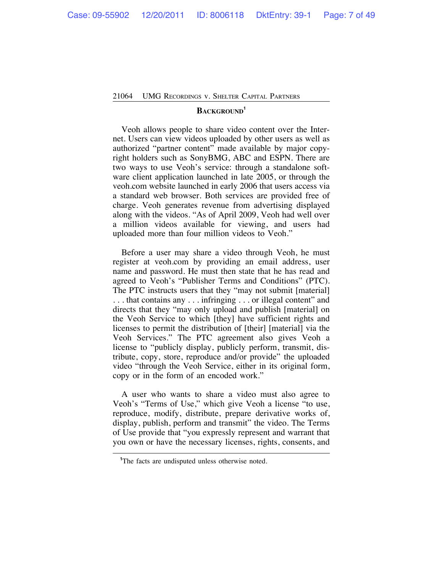#### **BACKGROUND<sup>1</sup>**

Veoh allows people to share video content over the Internet. Users can view videos uploaded by other users as well as authorized "partner content" made available by major copyright holders such as SonyBMG, ABC and ESPN. There are two ways to use Veoh's service: through a standalone software client application launched in late 2005, or through the veoh.com website launched in early 2006 that users access via a standard web browser. Both services are provided free of charge. Veoh generates revenue from advertising displayed along with the videos. "As of April 2009, Veoh had well over a million videos available for viewing, and users had uploaded more than four million videos to Veoh."

Before a user may share a video through Veoh, he must register at veoh.com by providing an email address, user name and password. He must then state that he has read and agreed to Veoh's "Publisher Terms and Conditions" (PTC). The PTC instructs users that they "may not submit [material] . . . that contains any . . . infringing . . . or illegal content" and directs that they "may only upload and publish [material] on the Veoh Service to which [they] have sufficient rights and licenses to permit the distribution of [their] [material] via the Veoh Services." The PTC agreement also gives Veoh a license to "publicly display, publicly perform, transmit, distribute, copy, store, reproduce and/or provide" the uploaded video "through the Veoh Service, either in its original form, copy or in the form of an encoded work."

A user who wants to share a video must also agree to Veoh's "Terms of Use," which give Veoh a license "to use, reproduce, modify, distribute, prepare derivative works of, display, publish, perform and transmit" the video. The Terms of Use provide that "you expressly represent and warrant that you own or have the necessary licenses, rights, consents, and

<sup>&</sup>lt;sup>1</sup>The facts are undisputed unless otherwise noted.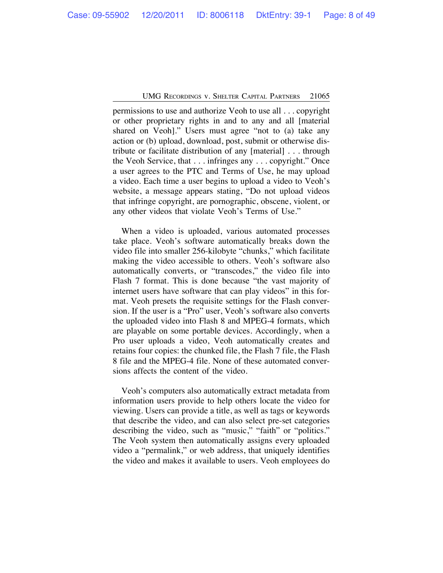permissions to use and authorize Veoh to use all . . . copyright or other proprietary rights in and to any and all [material shared on Veoh]." Users must agree "not to (a) take any action or (b) upload, download, post, submit or otherwise distribute or facilitate distribution of any [material] . . . through the Veoh Service, that . . . infringes any . . . copyright." Once a user agrees to the PTC and Terms of Use, he may upload a video. Each time a user begins to upload a video to Veoh's website, a message appears stating, "Do not upload videos that infringe copyright, are pornographic, obscene, violent, or any other videos that violate Veoh's Terms of Use."

When a video is uploaded, various automated processes take place. Veoh's software automatically breaks down the video file into smaller 256-kilobyte "chunks," which facilitate making the video accessible to others. Veoh's software also automatically converts, or "transcodes," the video file into Flash 7 format. This is done because "the vast majority of internet users have software that can play videos" in this format. Veoh presets the requisite settings for the Flash conversion. If the user is a "Pro" user, Veoh's software also converts the uploaded video into Flash 8 and MPEG-4 formats, which are playable on some portable devices. Accordingly, when a Pro user uploads a video, Veoh automatically creates and retains four copies: the chunked file, the Flash 7 file, the Flash 8 file and the MPEG-4 file. None of these automated conversions affects the content of the video.

Veoh's computers also automatically extract metadata from information users provide to help others locate the video for viewing. Users can provide a title, as well as tags or keywords that describe the video, and can also select pre-set categories describing the video, such as "music," "faith" or "politics." The Veoh system then automatically assigns every uploaded video a "permalink," or web address, that uniquely identifies the video and makes it available to users. Veoh employees do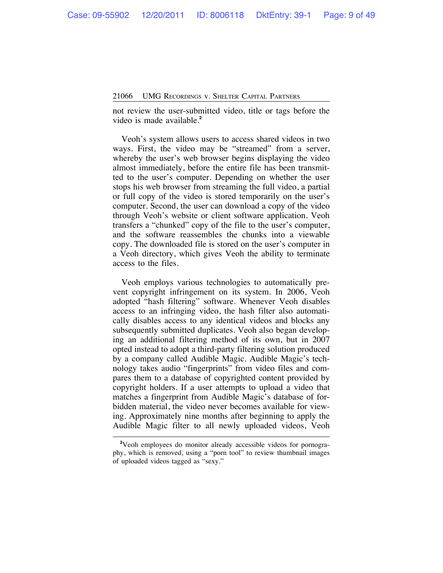not review the user-submitted video, title or tags before the video is made available.**<sup>2</sup>**

Veoh's system allows users to access shared videos in two ways. First, the video may be "streamed" from a server, whereby the user's web browser begins displaying the video almost immediately, before the entire file has been transmitted to the user's computer. Depending on whether the user stops his web browser from streaming the full video, a partial or full copy of the video is stored temporarily on the user's computer. Second, the user can download a copy of the video through Veoh's website or client software application. Veoh transfers a "chunked" copy of the file to the user's computer, and the software reassembles the chunks into a viewable copy. The downloaded file is stored on the user's computer in a Veoh directory, which gives Veoh the ability to terminate access to the files.

Veoh employs various technologies to automatically prevent copyright infringement on its system. In 2006, Veoh adopted "hash filtering" software. Whenever Veoh disables access to an infringing video, the hash filter also automatically disables access to any identical videos and blocks any subsequently submitted duplicates. Veoh also began developing an additional filtering method of its own, but in 2007 opted instead to adopt a third-party filtering solution produced by a company called Audible Magic. Audible Magic's technology takes audio "fingerprints" from video files and compares them to a database of copyrighted content provided by copyright holders. If a user attempts to upload a video that matches a fingerprint from Audible Magic's database of forbidden material, the video never becomes available for viewing. Approximately nine months after beginning to apply the Audible Magic filter to all newly uploaded videos, Veoh

**<sup>2</sup>** Veoh employees do monitor already accessible videos for pornography, which is removed, using a "porn tool" to review thumbnail images of uploaded videos tagged as "sexy."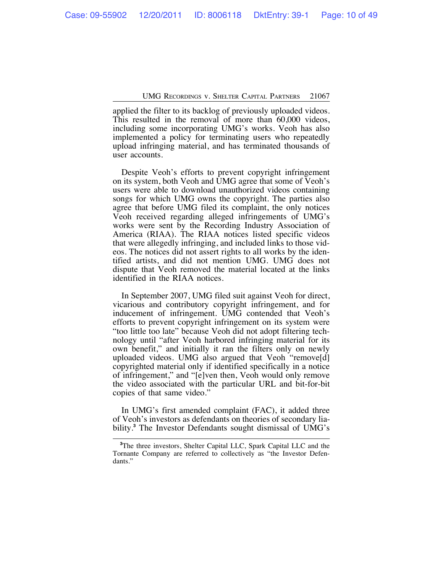applied the filter to its backlog of previously uploaded videos. This resulted in the removal of more than 60,000 videos, including some incorporating UMG's works. Veoh has also implemented a policy for terminating users who repeatedly upload infringing material, and has terminated thousands of user accounts.

Despite Veoh's efforts to prevent copyright infringement on its system, both Veoh and UMG agree that some of Veoh's users were able to download unauthorized videos containing songs for which UMG owns the copyright. The parties also agree that before UMG filed its complaint, the only notices Veoh received regarding alleged infringements of UMG's works were sent by the Recording Industry Association of America (RIAA). The RIAA notices listed specific videos that were allegedly infringing, and included links to those videos. The notices did not assert rights to all works by the identified artists, and did not mention UMG. UMG does not dispute that Veoh removed the material located at the links identified in the RIAA notices.

In September 2007, UMG filed suit against Veoh for direct, vicarious and contributory copyright infringement, and for inducement of infringement. UMG contended that Veoh's efforts to prevent copyright infringement on its system were "too little too late" because Veoh did not adopt filtering technology until "after Veoh harbored infringing material for its own benefit," and initially it ran the filters only on newly uploaded videos. UMG also argued that Veoh "remove[d] copyrighted material only if identified specifically in a notice of infringement," and "[e]ven then, Veoh would only remove the video associated with the particular URL and bit-for-bit copies of that same video."

In UMG's first amended complaint (FAC), it added three of Veoh's investors as defendants on theories of secondary liability.**<sup>3</sup>** The Investor Defendants sought dismissal of UMG's

**<sup>3</sup>** The three investors, Shelter Capital LLC, Spark Capital LLC and the Tornante Company are referred to collectively as "the Investor Defendants."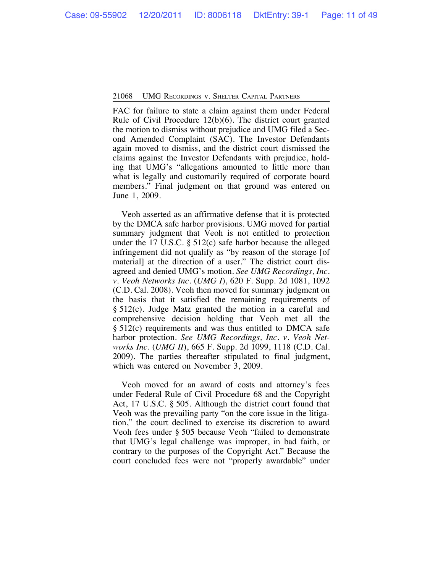FAC for failure to state a claim against them under Federal Rule of Civil Procedure 12(b)(6). The district court granted the motion to dismiss without prejudice and UMG filed a Second Amended Complaint (SAC). The Investor Defendants again moved to dismiss, and the district court dismissed the claims against the Investor Defendants with prejudice, holding that UMG's "allegations amounted to little more than what is legally and customarily required of corporate board members." Final judgment on that ground was entered on June 1, 2009.

Veoh asserted as an affirmative defense that it is protected by the DMCA safe harbor provisions. UMG moved for partial summary judgment that Veoh is not entitled to protection under the 17 U.S.C. § 512(c) safe harbor because the alleged infringement did not qualify as "by reason of the storage [of material] at the direction of a user." The district court disagreed and denied UMG's motion. *See UMG Recordings, Inc. v. Veoh Networks Inc.* (*UMG I*), 620 F. Supp. 2d 1081, 1092 (C.D. Cal. 2008). Veoh then moved for summary judgment on the basis that it satisfied the remaining requirements of § 512(c). Judge Matz granted the motion in a careful and comprehensive decision holding that Veoh met all the § 512(c) requirements and was thus entitled to DMCA safe harbor protection. *See UMG Recordings, Inc. v. Veoh Networks Inc.* (*UMG II*), 665 F. Supp. 2d 1099, 1118 (C.D. Cal. 2009). The parties thereafter stipulated to final judgment, which was entered on November 3, 2009.

Veoh moved for an award of costs and attorney's fees under Federal Rule of Civil Procedure 68 and the Copyright Act, 17 U.S.C. § 505. Although the district court found that Veoh was the prevailing party "on the core issue in the litigation," the court declined to exercise its discretion to award Veoh fees under § 505 because Veoh "failed to demonstrate that UMG's legal challenge was improper, in bad faith, or contrary to the purposes of the Copyright Act." Because the court concluded fees were not "properly awardable" under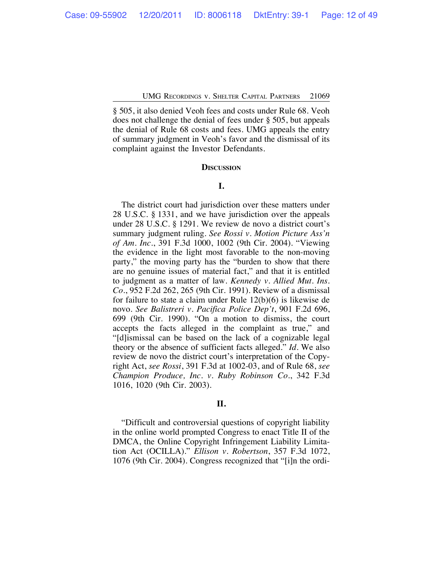§ 505, it also denied Veoh fees and costs under Rule 68. Veoh does not challenge the denial of fees under § 505, but appeals the denial of Rule 68 costs and fees. UMG appeals the entry of summary judgment in Veoh's favor and the dismissal of its complaint against the Investor Defendants.

#### **DISCUSSION**

#### **I.**

The district court had jurisdiction over these matters under 28 U.S.C. § 1331, and we have jurisdiction over the appeals under 28 U.S.C. § 1291. We review de novo a district court's summary judgment ruling. *See Rossi v. Motion Picture Ass'n of Am. Inc.*, 391 F.3d 1000, 1002 (9th Cir. 2004). "Viewing the evidence in the light most favorable to the non-moving party," the moving party has the "burden to show that there are no genuine issues of material fact," and that it is entitled to judgment as a matter of law. *Kennedy v. Allied Mut. Ins. Co.*, 952 F.2d 262, 265 (9th Cir. 1991). Review of a dismissal for failure to state a claim under Rule 12(b)(6) is likewise de novo. *See Balistreri v. Pacifica Police Dep't*, 901 F.2d 696, 699 (9th Cir. 1990). "On a motion to dismiss, the court accepts the facts alleged in the complaint as true," and "[d]ismissal can be based on the lack of a cognizable legal theory or the absence of sufficient facts alleged." *Id.* We also review de novo the district court's interpretation of the Copyright Act, *see Rossi*, 391 F.3d at 1002-03, and of Rule 68, *see Champion Produce, Inc. v. Ruby Robinson Co.*, 342 F.3d 1016, 1020 (9th Cir. 2003).

# **II.**

"Difficult and controversial questions of copyright liability in the online world prompted Congress to enact Title II of the DMCA, the Online Copyright Infringement Liability Limitation Act (OCILLA)." *Ellison v. Robertson*, 357 F.3d 1072, 1076 (9th Cir. 2004). Congress recognized that "[i]n the ordi-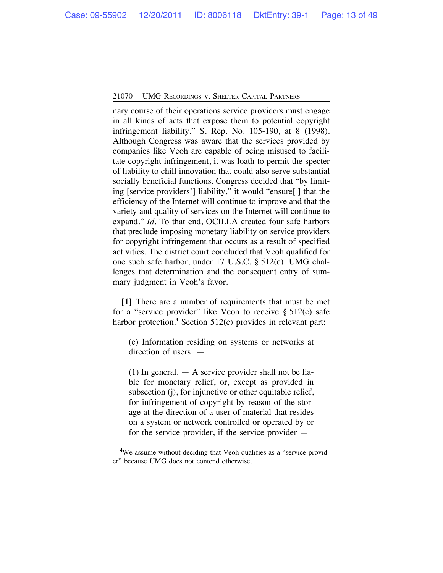nary course of their operations service providers must engage in all kinds of acts that expose them to potential copyright infringement liability." S. Rep. No. 105-190, at 8 (1998). Although Congress was aware that the services provided by companies like Veoh are capable of being misused to facilitate copyright infringement, it was loath to permit the specter of liability to chill innovation that could also serve substantial socially beneficial functions. Congress decided that "by limiting [service providers'] liability," it would "ensure[ ] that the efficiency of the Internet will continue to improve and that the variety and quality of services on the Internet will continue to expand." *Id.* To that end, OCILLA created four safe harbors that preclude imposing monetary liability on service providers for copyright infringement that occurs as a result of specified activities. The district court concluded that Veoh qualified for one such safe harbor, under 17 U.S.C. § 512(c). UMG challenges that determination and the consequent entry of summary judgment in Veoh's favor.

**[1]** There are a number of requirements that must be met for a "service provider" like Veoh to receive  $\S 512(c)$  safe harbor protection.**<sup>4</sup>** Section 512(c) provides in relevant part:

(c) Information residing on systems or networks at direction of users. —

(1) In general.  $-$  A service provider shall not be liable for monetary relief, or, except as provided in subsection (j), for injunctive or other equitable relief, for infringement of copyright by reason of the storage at the direction of a user of material that resides on a system or network controlled or operated by or for the service provider, if the service provider —

<sup>&</sup>lt;sup>4</sup>We assume without deciding that Veoh qualifies as a "service provider" because UMG does not contend otherwise.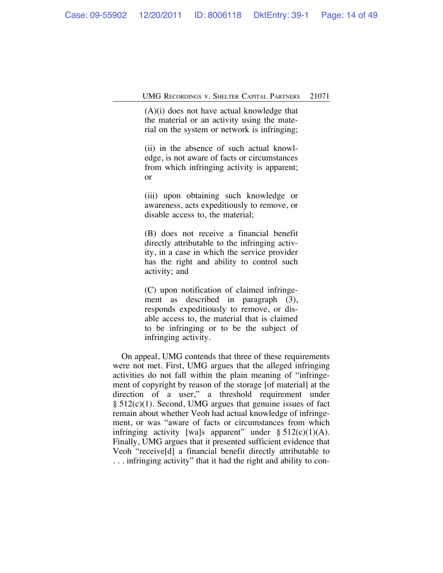(A)(i) does not have actual knowledge that the material or an activity using the material on the system or network is infringing;

(ii) in the absence of such actual knowledge, is not aware of facts or circumstances from which infringing activity is apparent; or

(iii) upon obtaining such knowledge or awareness, acts expeditiously to remove, or disable access to, the material;

(B) does not receive a financial benefit directly attributable to the infringing activity, in a case in which the service provider has the right and ability to control such activity; and

(C) upon notification of claimed infringement as described in paragraph (3), responds expeditiously to remove, or disable access to, the material that is claimed to be infringing or to be the subject of infringing activity.

On appeal, UMG contends that three of these requirements were not met. First, UMG argues that the alleged infringing activities do not fall within the plain meaning of "infringement of copyright by reason of the storage [of material] at the direction of a user," a threshold requirement under § 512(c)(1). Second, UMG argues that genuine issues of fact remain about whether Veoh had actual knowledge of infringement, or was "aware of facts or circumstances from which infringing activity [wa]s apparent" under  $\S 512(c)(1)(A)$ . Finally, UMG argues that it presented sufficient evidence that Veoh "receive[d] a financial benefit directly attributable to . . . infringing activity" that it had the right and ability to con-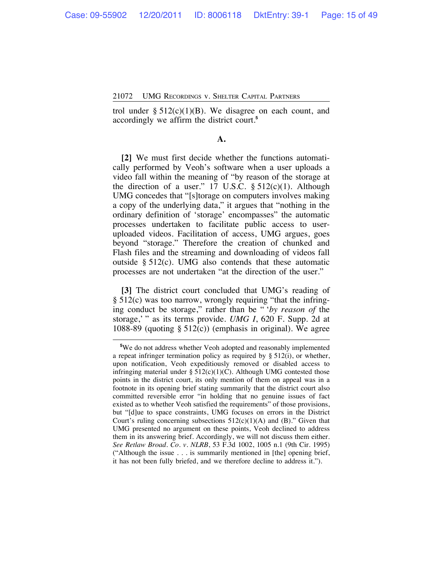trol under  $\S 512(c)(1)(B)$ . We disagree on each count, and accordingly we affirm the district court.**<sup>5</sup>**

# **A.**

**[2]** We must first decide whether the functions automatically performed by Veoh's software when a user uploads a video fall within the meaning of "by reason of the storage at the direction of a user."  $17 \text{ U.S.C. }$  § 512(c)(1). Although UMG concedes that "[s]torage on computers involves making a copy of the underlying data," it argues that "nothing in the ordinary definition of 'storage' encompasses" the automatic processes undertaken to facilitate public access to useruploaded videos. Facilitation of access, UMG argues, goes beyond "storage." Therefore the creation of chunked and Flash files and the streaming and downloading of videos fall outside § 512(c). UMG also contends that these automatic processes are not undertaken "at the direction of the user."

**[3]** The district court concluded that UMG's reading of § 512(c) was too narrow, wrongly requiring "that the infringing conduct be storage," rather than be " '*by reason of* the storage,' " as its terms provide. *UMG I*, 620 F. Supp. 2d at 1088-89 (quoting  $\S$  512(c)) (emphasis in original). We agree

**<sup>5</sup>** We do not address whether Veoh adopted and reasonably implemented a repeat infringer termination policy as required by  $\S 512(i)$ , or whether, upon notification, Veoh expeditiously removed or disabled access to infringing material under  $\S 512(c)(1)(C)$ . Although UMG contested those points in the district court, its only mention of them on appeal was in a footnote in its opening brief stating summarily that the district court also committed reversible error "in holding that no genuine issues of fact existed as to whether Veoh satisfied the requirements" of those provisions, but "[d]ue to space constraints, UMG focuses on errors in the District Court's ruling concerning subsections  $512(c)(1)(A)$  and (B)." Given that UMG presented no argument on these points, Veoh declined to address them in its answering brief. Accordingly, we will not discuss them either. *See Retlaw Broad. Co. v. NLRB*, 53 F.3d 1002, 1005 n.1 (9th Cir. 1995) ("Although the issue . . . is summarily mentioned in [the] opening brief, it has not been fully briefed, and we therefore decline to address it.").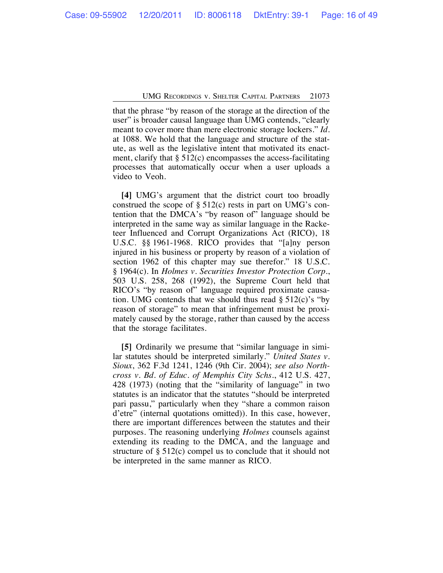that the phrase "by reason of the storage at the direction of the user" is broader causal language than UMG contends, "clearly meant to cover more than mere electronic storage lockers." *Id.* at 1088. We hold that the language and structure of the statute, as well as the legislative intent that motivated its enactment, clarify that  $\S$  512(c) encompasses the access-facilitating processes that automatically occur when a user uploads a video to Veoh.

**[4]** UMG's argument that the district court too broadly construed the scope of  $\S$  512(c) rests in part on UMG's contention that the DMCA's "by reason of" language should be interpreted in the same way as similar language in the Racketeer Influenced and Corrupt Organizations Act (RICO), 18 U.S.C. §§ 1961-1968. RICO provides that "[a]ny person injured in his business or property by reason of a violation of section 1962 of this chapter may sue therefor." 18 U.S.C. § 1964(c). In *Holmes v. Securities Investor Protection Corp.*, 503 U.S. 258, 268 (1992), the Supreme Court held that RICO's "by reason of" language required proximate causation. UMG contends that we should thus read  $\S 512(c)$ 's "by reason of storage" to mean that infringement must be proximately caused by the storage, rather than caused by the access that the storage facilitates.

**[5]** Ordinarily we presume that "similar language in similar statutes should be interpreted similarly." *United States v. Sioux*, 362 F.3d 1241, 1246 (9th Cir. 2004); *see also Northcross v. Bd. of Educ. of Memphis City Schs.*, 412 U.S. 427, 428 (1973) (noting that the "similarity of language" in two statutes is an indicator that the statutes "should be interpreted pari passu," particularly when they "share a common raison d'etre" (internal quotations omitted)). In this case, however, there are important differences between the statutes and their purposes. The reasoning underlying *Holmes* counsels against extending its reading to the DMCA, and the language and structure of § 512(c) compel us to conclude that it should not be interpreted in the same manner as RICO.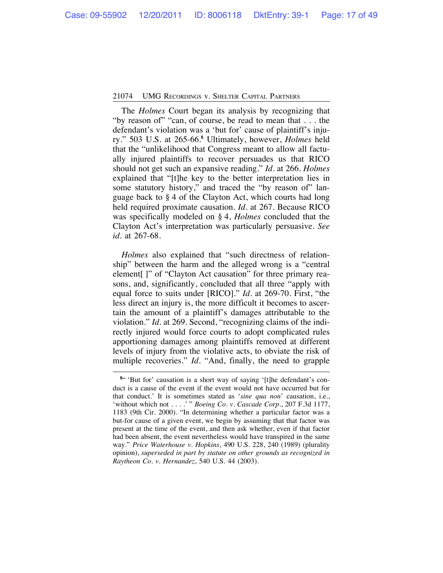The *Holmes* Court began its analysis by recognizing that "by reason of" "can, of course, be read to mean that . . . the defendant's violation was a 'but for' cause of plaintiff's injury." 503 U.S. at 265-66.**<sup>6</sup>** Ultimately, however, *Holmes* held that the "unlikelihood that Congress meant to allow all factually injured plaintiffs to recover persuades us that RICO should not get such an expansive reading." *Id.* at 266. *Holmes* explained that "[t]he key to the better interpretation lies in some statutory history," and traced the "by reason of" language back to § 4 of the Clayton Act, which courts had long held required proximate causation. *Id.* at 267. Because RICO was specifically modeled on § 4, *Holmes* concluded that the Clayton Act's interpretation was particularly persuasive. *See id.* at 267-68.

*Holmes* also explained that "such directness of relationship" between the harm and the alleged wrong is a "central element |" of "Clayton Act causation" for three primary reasons, and, significantly, concluded that all three "apply with equal force to suits under [RICO]." *Id.* at 269-70. First, "the less direct an injury is, the more difficult it becomes to ascertain the amount of a plaintiff's damages attributable to the violation." *Id.* at 269. Second, "recognizing claims of the indirectly injured would force courts to adopt complicated rules apportioning damages among plaintiffs removed at different levels of injury from the violative acts, to obviate the risk of multiple recoveries." *Id.* "And, finally, the need to grapple

<sup>&</sup>lt;sup>6"</sup> 'But for' causation is a short way of saying '[t]he defendant's conduct is a cause of the event if the event would not have occurred but for that conduct.' It is sometimes stated as '*sine qua non*' causation, i.e., 'without which not . . . .' " *Boeing Co. v. Cascade Corp.*, 207 F.3d 1177, 1183 (9th Cir. 2000). "In determining whether a particular factor was a but-for cause of a given event, we begin by assuming that that factor was present at the time of the event, and then ask whether, even if that factor had been absent, the event nevertheless would have transpired in the same way." *Price Waterhouse v. Hopkins*, 490 U.S. 228, 240 (1989) (plurality opinion), *superseded in part by statute on other grounds as recognized in Raytheon Co. v. Hernandez*, 540 U.S. 44 (2003).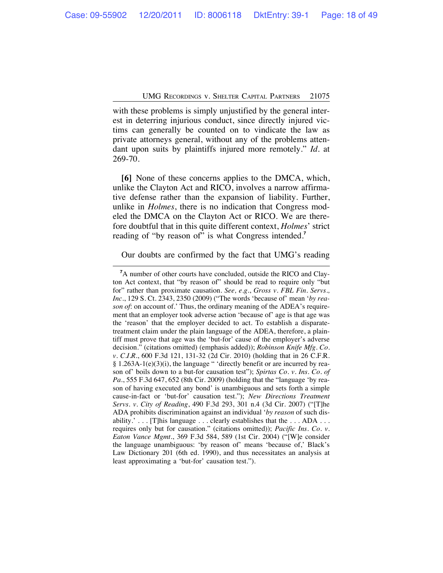with these problems is simply unjustified by the general interest in deterring injurious conduct, since directly injured victims can generally be counted on to vindicate the law as private attorneys general, without any of the problems attendant upon suits by plaintiffs injured more remotely." *Id.* at 269-70.

**[6]** None of these concerns applies to the DMCA, which, unlike the Clayton Act and RICO, involves a narrow affirmative defense rather than the expansion of liability. Further, unlike in *Holmes*, there is no indication that Congress modeled the DMCA on the Clayton Act or RICO. We are therefore doubtful that in this quite different context, *Holmes*' strict reading of "by reason of" is what Congress intended.**<sup>7</sup>**

Our doubts are confirmed by the fact that UMG's reading

**<sup>7</sup>** A number of other courts have concluded, outside the RICO and Clayton Act context, that "by reason of" should be read to require only "but for" rather than proximate causation. *See, e.g.*, *Gross v. FBL Fin. Servs., Inc.*, 129 S. Ct. 2343, 2350 (2009) ("The words 'because of' mean '*by reason of*: on account of.' Thus, the ordinary meaning of the ADEA's requirement that an employer took adverse action 'because of' age is that age was the 'reason' that the employer decided to act. To establish a disparatetreatment claim under the plain language of the ADEA, therefore, a plaintiff must prove that age was the 'but-for' cause of the employer's adverse decision." (citations omitted) (emphasis added)); *Robinson Knife Mfg. Co. v. C.I.R.*, 600 F.3d 121, 131-32 (2d Cir. 2010) (holding that in 26 C.F.R. § 1.263A-1(e)(3)(i), the language " 'directly benefit or are incurred by reason of' boils down to a but-for causation test"); *Spirtas Co. v. Ins. Co. of Pa.*, 555 F.3d 647, 652 (8th Cir. 2009) (holding that the "language 'by reason of having executed any bond' is unambiguous and sets forth a simple cause-in-fact or 'but-for' causation test."); *New Directions Treatment Servs. v. City of Reading*, 490 F.3d 293, 301 n.4 (3d Cir. 2007) ("[T]he ADA prohibits discrimination against an individual '*by reason* of such disability.' . . . [T]his language . . . clearly establishes that the . . . ADA . . . requires only but for causation." (citations omitted)); *Pacific Ins. Co. v. Eaton Vance Mgmt*., 369 F.3d 584, 589 (1st Cir. 2004) ("[W]e consider the language unambiguous: 'by reason of' means 'because of,' Black's Law Dictionary 201 (6th ed. 1990), and thus necessitates an analysis at least approximating a 'but-for' causation test.").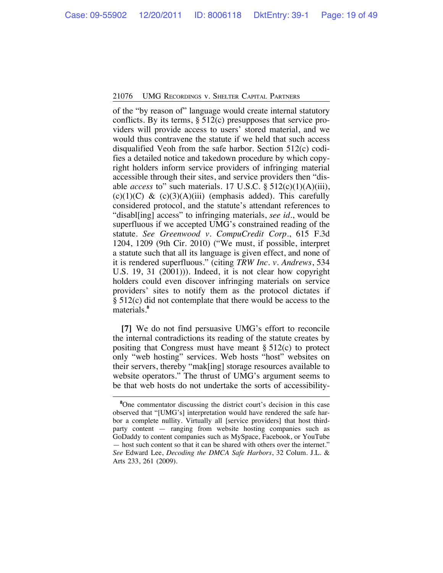of the "by reason of" language would create internal statutory conflicts. By its terms,  $\S$  512(c) presupposes that service providers will provide access to users' stored material, and we would thus contravene the statute if we held that such access disqualified Veoh from the safe harbor. Section 512(c) codifies a detailed notice and takedown procedure by which copyright holders inform service providers of infringing material accessible through their sites, and service providers then "disable *access* to" such materials. 17 U.S.C. § 512(c)(1)(A)(iii), (c)(1)(C) & (c)(3)(A)(iii) (emphasis added). This carefully considered protocol, and the statute's attendant references to "disabl[ing] access" to infringing materials, *see id.*, would be superfluous if we accepted UMG's constrained reading of the statute. *See Greenwood v. CompuCredit Corp.*, 615 F.3d 1204, 1209 (9th Cir. 2010) ("We must, if possible, interpret a statute such that all its language is given effect, and none of it is rendered superfluous." (citing *TRW Inc. v. Andrews*, 534 U.S. 19, 31 (2001))). Indeed, it is not clear how copyright holders could even discover infringing materials on service providers' sites to notify them as the protocol dictates if § 512(c) did not contemplate that there would be access to the materials.**<sup>8</sup>**

**[7]** We do not find persuasive UMG's effort to reconcile the internal contradictions its reading of the statute creates by positing that Congress must have meant  $\S 512(c)$  to protect only "web hosting" services. Web hosts "host" websites on their servers, thereby "mak[ing] storage resources available to website operators." The thrust of UMG's argument seems to be that web hosts do not undertake the sorts of accessibility-

<sup>&</sup>lt;sup>8</sup>One commentator discussing the district court's decision in this case observed that "[UMG's] interpretation would have rendered the safe harbor a complete nullity. Virtually all [service providers] that host thirdparty content — ranging from website hosting companies such as GoDaddy to content companies such as MySpace, Facebook, or YouTube — host such content so that it can be shared with others over the internet." *See* Edward Lee, *Decoding the DMCA Safe Harbors*, 32 Colum. J.L. & Arts 233, 261 (2009).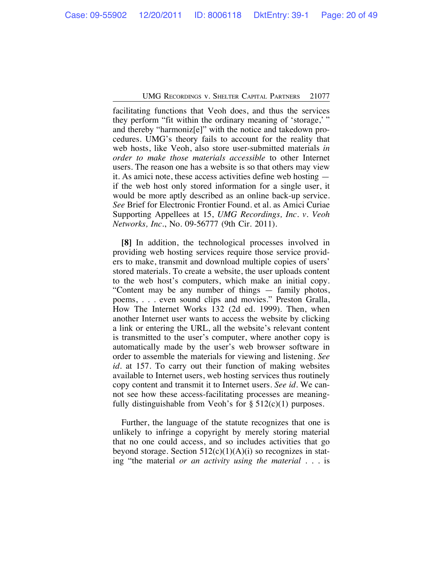facilitating functions that Veoh does, and thus the services they perform "fit within the ordinary meaning of 'storage,' " and thereby "harmoniz[e]" with the notice and takedown procedures. UMG's theory fails to account for the reality that web hosts, like Veoh, also store user-submitted materials *in order to make those materials accessible* to other Internet users. The reason one has a website is so that others may view it. As amici note, these access activities define web hosting if the web host only stored information for a single user, it would be more aptly described as an online back-up service. *See* Brief for Electronic Frontier Found. et al. as Amici Curiae Supporting Appellees at 15, *UMG Recordings, Inc. v. Veoh Networks, Inc.*, No. 09-56777 (9th Cir. 2011).

**[8]** In addition, the technological processes involved in providing web hosting services require those service providers to make, transmit and download multiple copies of users' stored materials. To create a website, the user uploads content to the web host's computers, which make an initial copy. "Content may be any number of things — family photos, poems, . . . even sound clips and movies." Preston Gralla, How The Internet Works 132 (2d ed. 1999). Then, when another Internet user wants to access the website by clicking a link or entering the URL, all the website's relevant content is transmitted to the user's computer, where another copy is automatically made by the user's web browser software in order to assemble the materials for viewing and listening. *See id.* at 157. To carry out their function of making websites available to Internet users, web hosting services thus routinely copy content and transmit it to Internet users. *See id.* We cannot see how these access-facilitating processes are meaningfully distinguishable from Veoh's for  $\S 512(c)(1)$  purposes.

Further, the language of the statute recognizes that one is unlikely to infringe a copyright by merely storing material that no one could access, and so includes activities that go beyond storage. Section  $512(c)(1)(A)(i)$  so recognizes in stating "the material *or an activity using the material* . . . is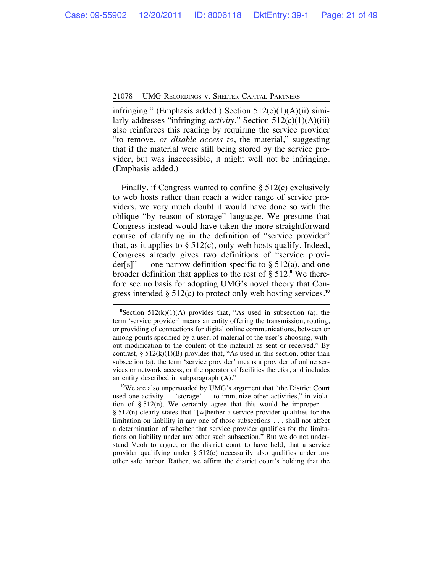infringing." (Emphasis added.) Section  $512(c)(1)(A)(ii)$  similarly addresses "infringing *activity*." Section 512(c)(1)(A)(iii) also reinforces this reading by requiring the service provider "to remove, *or disable access to*, the material," suggesting that if the material were still being stored by the service provider, but was inaccessible, it might well not be infringing. (Emphasis added.)

Finally, if Congress wanted to confine § 512(c) exclusively to web hosts rather than reach a wider range of service providers, we very much doubt it would have done so with the oblique "by reason of storage" language. We presume that Congress instead would have taken the more straightforward course of clarifying in the definition of "service provider" that, as it applies to  $\S$  512(c), only web hosts qualify. Indeed, Congress already gives two definitions of "service provider[s]" — one narrow definition specific to  $\S$  512(a), and one broader definition that applies to the rest of § 512.**<sup>9</sup>** We therefore see no basis for adopting UMG's novel theory that Congress intended § 512(c) to protect only web hosting services.**<sup>10</sup>**

<sup>&</sup>lt;sup>9</sup>Section 512(k)(1)(A) provides that, "As used in subsection (a), the term 'service provider' means an entity offering the transmission, routing, or providing of connections for digital online communications, between or among points specified by a user, of material of the user's choosing, without modification to the content of the material as sent or received." By contrast,  $\S 512(k)(1)(B)$  provides that, "As used in this section, other than subsection (a), the term 'service provider' means a provider of online services or network access, or the operator of facilities therefor, and includes an entity described in subparagraph (A)."

**<sup>10</sup>**We are also unpersuaded by UMG's argument that "the District Court used one activity  $-$  'storage'  $-$  to immunize other activities," in violation of  $\S 512(n)$ . We certainly agree that this would be improper – § 512(n) clearly states that "[w]hether a service provider qualifies for the limitation on liability in any one of those subsections . . . shall not affect a determination of whether that service provider qualifies for the limitations on liability under any other such subsection." But we do not understand Veoh to argue, or the district court to have held, that a service provider qualifying under § 512(c) necessarily also qualifies under any other safe harbor. Rather, we affirm the district court's holding that the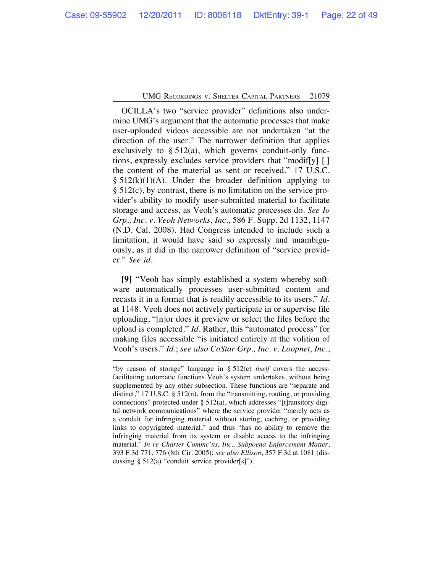OCILLA's two "service provider" definitions also undermine UMG's argument that the automatic processes that make user-uploaded videos accessible are not undertaken "at the direction of the user." The narrower definition that applies exclusively to § 512(a), which governs conduit-only functions, expressly excludes service providers that "modif[y] [ ] the content of the material as sent or received." 17 U.S.C.  $§ 512(k)(1)(A)$ . Under the broader definition applying to § 512(c), by contrast, there is no limitation on the service provider's ability to modify user-submitted material to facilitate storage and access, as Veoh's automatic processes do. *See Io Grp., Inc. v. Veoh Networks, Inc.*, 586 F. Supp. 2d 1132, 1147 (N.D. Cal. 2008). Had Congress intended to include such a limitation, it would have said so expressly and unambiguously, as it did in the narrower definition of "service provider." *See id.*

**[9]** "Veoh has simply established a system whereby software automatically processes user-submitted content and recasts it in a format that is readily accessible to its users." *Id.* at 1148. Veoh does not actively participate in or supervise file uploading, "[n]or does it preview or select the files before the upload is completed." *Id.* Rather, this "automated process" for making files accessible "is initiated entirely at the volition of Veoh's users." *Id*.; *see also CoStar Grp., Inc. v. Loopnet, Inc.*,

<sup>&</sup>quot;by reason of storage" language in § 512(c) *itself* covers the accessfacilitating automatic functions Veoh's system undertakes, without being supplemented by any other subsection. These functions are "separate and distinct," 17 U.S.C. § 512(n), from the "transmitting, routing, or providing connections" protected under § 512(a), which addresses "[t]ransitory digital network communications" where the service provider "merely acts as a conduit for infringing material without storing, caching, or providing links to copyrighted material," and thus "has no ability to remove the infringing material from its system or disable access to the infringing material." *In re Charter Commc'ns, Inc., Subpoena Enforcement Matter*, 393 F.3d 771, 776 (8th Cir. 2005); *see also Ellison*, 357 F.3d at 1081 (discussing § 512(a) "conduit service provider[s]").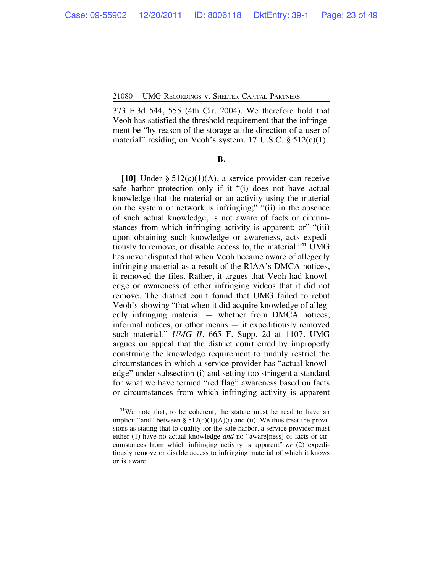373 F.3d 544, 555 (4th Cir. 2004). We therefore hold that Veoh has satisfied the threshold requirement that the infringement be "by reason of the storage at the direction of a user of material" residing on Veoh's system. 17 U.S.C. § 512(c)(1).

#### **B.**

**[10]** Under § 512(c)(1)(A), a service provider can receive safe harbor protection only if it "(i) does not have actual knowledge that the material or an activity using the material on the system or network is infringing;" "(ii) in the absence of such actual knowledge, is not aware of facts or circumstances from which infringing activity is apparent; or ""(iii) upon obtaining such knowledge or awareness, acts expeditiously to remove, or disable access to, the material."**<sup>11</sup>** UMG has never disputed that when Veoh became aware of allegedly infringing material as a result of the RIAA's DMCA notices, it removed the files. Rather, it argues that Veoh had knowledge or awareness of other infringing videos that it did not remove. The district court found that UMG failed to rebut Veoh's showing "that when it did acquire knowledge of allegedly infringing material — whether from DMCA notices, informal notices, or other means — it expeditiously removed such material." *UMG II*, 665 F. Supp. 2d at 1107. UMG argues on appeal that the district court erred by improperly construing the knowledge requirement to unduly restrict the circumstances in which a service provider has "actual knowledge" under subsection (i) and setting too stringent a standard for what we have termed "red flag" awareness based on facts or circumstances from which infringing activity is apparent

**<sup>11</sup>**We note that, to be coherent, the statute must be read to have an implicit "and" between §  $512(c)(1)(A)(i)$  and (ii). We thus treat the provisions as stating that to qualify for the safe harbor, a service provider must either (1) have no actual knowledge *and* no "aware[ness] of facts or circumstances from which infringing activity is apparent" *or* (2) expeditiously remove or disable access to infringing material of which it knows or is aware.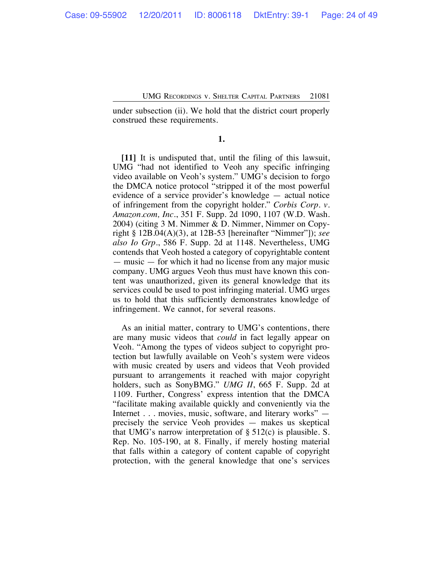under subsection (ii). We hold that the district court properly construed these requirements.

**1.**

**[11]** It is undisputed that, until the filing of this lawsuit, UMG "had not identified to Veoh any specific infringing video available on Veoh's system." UMG's decision to forgo the DMCA notice protocol "stripped it of the most powerful evidence of a service provider's knowledge — actual notice of infringement from the copyright holder." *Corbis Corp. v. Amazon.com, Inc.*, 351 F. Supp. 2d 1090, 1107 (W.D. Wash. 2004) (citing 3 M. Nimmer & D. Nimmer, Nimmer on Copyright § 12B.04(A)(3), at 12B-53 [hereinafter "Nimmer"]); *see also Io Grp.*, 586 F. Supp. 2d at 1148. Nevertheless, UMG contends that Veoh hosted a category of copyrightable content — music — for which it had no license from any major music company. UMG argues Veoh thus must have known this content was unauthorized, given its general knowledge that its services could be used to post infringing material. UMG urges us to hold that this sufficiently demonstrates knowledge of infringement. We cannot, for several reasons.

As an initial matter, contrary to UMG's contentions, there are many music videos that *could* in fact legally appear on Veoh. "Among the types of videos subject to copyright protection but lawfully available on Veoh's system were videos with music created by users and videos that Veoh provided pursuant to arrangements it reached with major copyright holders, such as SonyBMG." *UMG II*, 665 F. Supp. 2d at 1109. Further, Congress' express intention that the DMCA "facilitate making available quickly and conveniently via the Internet . . . movies, music, software, and literary works" precisely the service Veoh provides — makes us skeptical that UMG's narrow interpretation of  $\S 512(c)$  is plausible. S. Rep. No. 105-190, at 8. Finally, if merely hosting material that falls within a category of content capable of copyright protection, with the general knowledge that one's services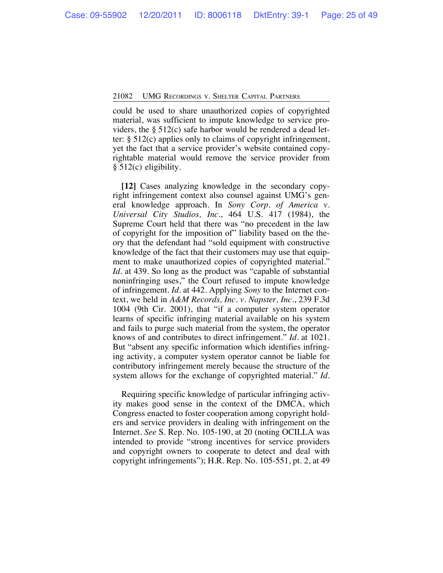could be used to share unauthorized copies of copyrighted material, was sufficient to impute knowledge to service providers, the § 512(c) safe harbor would be rendered a dead letter: § 512(c) applies only to claims of copyright infringement, yet the fact that a service provider's website contained copyrightable material would remove the service provider from § 512(c) eligibility.

**[12]** Cases analyzing knowledge in the secondary copyright infringement context also counsel against UMG's general knowledge approach. In *Sony Corp. of America v. Universal City Studios, Inc.*, 464 U.S. 417 (1984), the Supreme Court held that there was "no precedent in the law of copyright for the imposition of" liability based on the theory that the defendant had "sold equipment with constructive knowledge of the fact that their customers may use that equipment to make unauthorized copies of copyrighted material." *Id.* at 439. So long as the product was "capable of substantial noninfringing uses," the Court refused to impute knowledge of infringement. *Id.* at 442. Applying *Sony* to the Internet context, we held in *A&M Records, Inc. v. Napster, Inc.*, 239 F.3d 1004 (9th Cir. 2001), that "if a computer system operator learns of specific infringing material available on his system and fails to purge such material from the system, the operator knows of and contributes to direct infringement." *Id.* at 1021. But "absent any specific information which identifies infringing activity, a computer system operator cannot be liable for contributory infringement merely because the structure of the system allows for the exchange of copyrighted material." *Id.*

Requiring specific knowledge of particular infringing activity makes good sense in the context of the DMCA, which Congress enacted to foster cooperation among copyright holders and service providers in dealing with infringement on the Internet. *See* S. Rep. No. 105-190, at 20 (noting OCILLA was intended to provide "strong incentives for service providers and copyright owners to cooperate to detect and deal with copyright infringements"); H.R. Rep. No. 105-551, pt. 2, at 49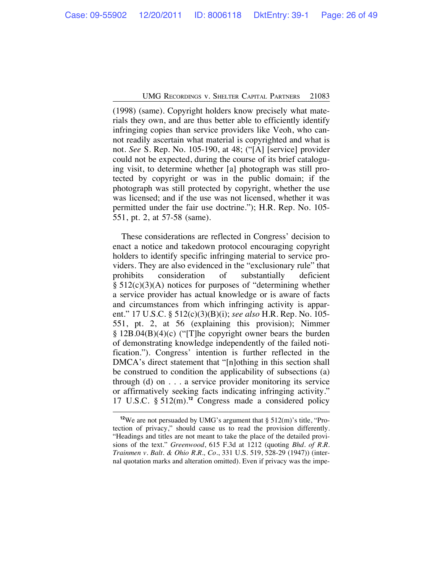(1998) (same). Copyright holders know precisely what materials they own, and are thus better able to efficiently identify infringing copies than service providers like Veoh, who cannot readily ascertain what material is copyrighted and what is not. *See* S. Rep. No. 105-190, at 48; ("[A] [service] provider could not be expected, during the course of its brief cataloguing visit, to determine whether [a] photograph was still protected by copyright or was in the public domain; if the photograph was still protected by copyright, whether the use was licensed; and if the use was not licensed, whether it was permitted under the fair use doctrine."); H.R. Rep. No. 105- 551, pt. 2, at 57-58 (same).

These considerations are reflected in Congress' decision to enact a notice and takedown protocol encouraging copyright holders to identify specific infringing material to service providers. They are also evidenced in the "exclusionary rule" that prohibits consideration of substantially deficient § 512(c)(3)(A) notices for purposes of "determining whether a service provider has actual knowledge or is aware of facts and circumstances from which infringing activity is apparent." 17 U.S.C. § 512(c)(3)(B)(i); *see also* H.R. Rep. No. 105- 551, pt. 2, at 56 (explaining this provision); Nimmer  $\S 12B.04(B)(4)(c)$  ("The copyright owner bears the burden of demonstrating knowledge independently of the failed notification."). Congress' intention is further reflected in the DMCA's direct statement that "[n]othing in this section shall be construed to condition the applicability of subsections (a) through (d) on . . . a service provider monitoring its service or affirmatively seeking facts indicating infringing activity." 17 U.S.C. § 512(m).**<sup>12</sup>** Congress made a considered policy

**<sup>12</sup>**We are not persuaded by UMG's argument that § 512(m)'s title, "Protection of privacy," should cause us to read the provision differently. "Headings and titles are not meant to take the place of the detailed provisions of the text." *Greenwood*, 615 F.3d at 1212 (quoting *Bhd. of R.R. Trainmen v. Balt. & Ohio R.R., Co.*, 331 U.S. 519, 528-29 (1947)) (internal quotation marks and alteration omitted). Even if privacy was the impe-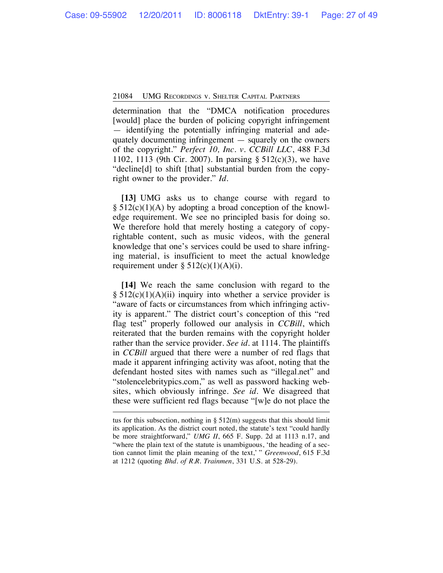determination that the "DMCA notification procedures [would] place the burden of policing copyright infringement — identifying the potentially infringing material and adequately documenting infringement — squarely on the owners of the copyright." *Perfect 10, Inc. v. CCBill LLC*, 488 F.3d 1102, 1113 (9th Cir. 2007). In parsing § 512(c)(3), we have "decline[d] to shift [that] substantial burden from the copyright owner to the provider." *Id.*

**[13]** UMG asks us to change course with regard to  $\S 512(c)(1)(A)$  by adopting a broad conception of the knowledge requirement. We see no principled basis for doing so. We therefore hold that merely hosting a category of copyrightable content, such as music videos, with the general knowledge that one's services could be used to share infringing material, is insufficient to meet the actual knowledge requirement under  $\S 512(c)(1)(A)(i)$ .

**[14]** We reach the same conclusion with regard to the  $§ 512(c)(1)(A)(ii)$  inquiry into whether a service provider is "aware of facts or circumstances from which infringing activity is apparent." The district court's conception of this "red flag test" properly followed our analysis in *CCBill*, which reiterated that the burden remains with the copyright holder rather than the service provider. *See id.* at 1114. The plaintiffs in *CCBill* argued that there were a number of red flags that made it apparent infringing activity was afoot, noting that the defendant hosted sites with names such as "illegal.net" and "stolencelebritypics.com," as well as password hacking websites, which obviously infringe. *See id.* We disagreed that these were sufficient red flags because "[w]e do not place the

tus for this subsection, nothing in  $\S$  512(m) suggests that this should limit its application. As the district court noted, the statute's text "could hardly be more straightforward," *UMG II*, 665 F. Supp. 2d at 1113 n.17, and "where the plain text of the statute is unambiguous, 'the heading of a section cannot limit the plain meaning of the text,' " *Greenwood*, 615 F.3d at 1212 (quoting *Bhd. of R.R. Trainmen*, 331 U.S. at 528-29).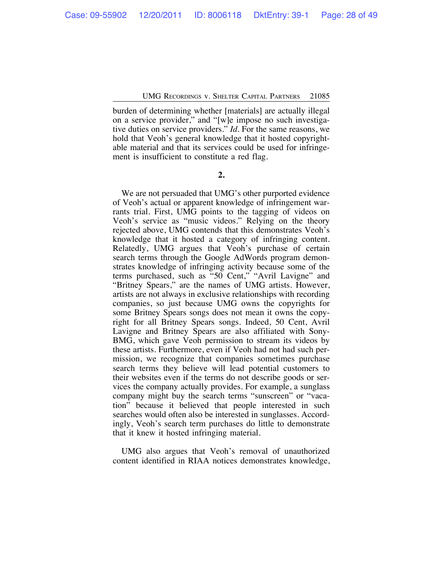burden of determining whether [materials] are actually illegal on a service provider," and "[w]e impose no such investigative duties on service providers." *Id.* For the same reasons, we hold that Veoh's general knowledge that it hosted copyrightable material and that its services could be used for infringement is insufficient to constitute a red flag.

**2.**

We are not persuaded that UMG's other purported evidence of Veoh's actual or apparent knowledge of infringement warrants trial. First, UMG points to the tagging of videos on Veoh's service as "music videos." Relying on the theory rejected above, UMG contends that this demonstrates Veoh's knowledge that it hosted a category of infringing content. Relatedly, UMG argues that Veoh's purchase of certain search terms through the Google AdWords program demonstrates knowledge of infringing activity because some of the terms purchased, such as "50 Cent," "Avril Lavigne" and "Britney Spears," are the names of UMG artists. However, artists are not always in exclusive relationships with recording companies, so just because UMG owns the copyrights for some Britney Spears songs does not mean it owns the copyright for all Britney Spears songs. Indeed, 50 Cent, Avril Lavigne and Britney Spears are also affiliated with Sony-BMG, which gave Veoh permission to stream its videos by these artists. Furthermore, even if Veoh had not had such permission, we recognize that companies sometimes purchase search terms they believe will lead potential customers to their websites even if the terms do not describe goods or services the company actually provides. For example, a sunglass company might buy the search terms "sunscreen" or "vacation" because it believed that people interested in such searches would often also be interested in sunglasses. Accordingly, Veoh's search term purchases do little to demonstrate that it knew it hosted infringing material.

UMG also argues that Veoh's removal of unauthorized content identified in RIAA notices demonstrates knowledge,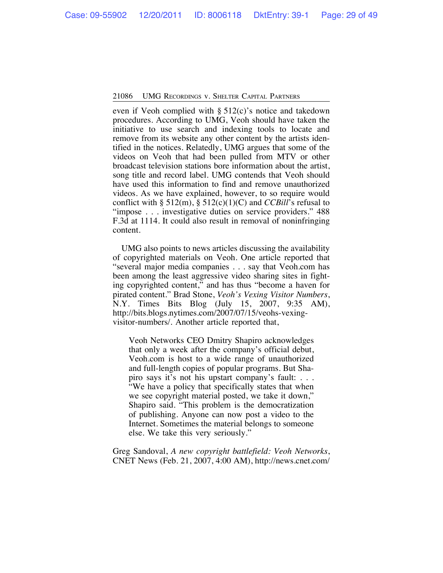even if Veoh complied with § 512(c)'s notice and takedown procedures. According to UMG, Veoh should have taken the initiative to use search and indexing tools to locate and remove from its website any other content by the artists identified in the notices. Relatedly, UMG argues that some of the videos on Veoh that had been pulled from MTV or other broadcast television stations bore information about the artist, song title and record label. UMG contends that Veoh should have used this information to find and remove unauthorized videos. As we have explained, however, to so require would conflict with § 512(m), § 512(c)(1)(C) and *CCBill*'s refusal to "impose . . . investigative duties on service providers." 488 F.3d at 1114. It could also result in removal of noninfringing content.

UMG also points to news articles discussing the availability of copyrighted materials on Veoh. One article reported that "several major media companies . . . say that Veoh.com has been among the least aggressive video sharing sites in fighting copyrighted content," and has thus "become a haven for pirated content." Brad Stone, *Veoh's Vexing Visitor Numbers*, N.Y. Times Bits Blog (July 15, 2007, 9:35 AM), http://bits.blogs.nytimes.com/2007/07/15/veohs-vexingvisitor-numbers/. Another article reported that,

Veoh Networks CEO Dmitry Shapiro acknowledges that only a week after the company's official debut, Veoh.com is host to a wide range of unauthorized and full-length copies of popular programs. But Shapiro says it's not his upstart company's fault: . . . "We have a policy that specifically states that when we see copyright material posted, we take it down," Shapiro said. "This problem is the democratization of publishing. Anyone can now post a video to the Internet. Sometimes the material belongs to someone else. We take this very seriously."

Greg Sandoval, *A new copyright battlefield: Veoh Networks*, CNET News (Feb. 21, 2007, 4:00 AM), http://news.cnet.com/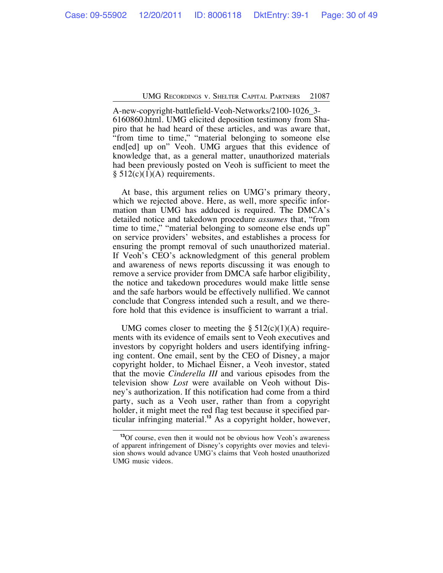A-new-copyright-battlefield-Veoh-Networks/2100-1026\_3- 6160860.html. UMG elicited deposition testimony from Shapiro that he had heard of these articles, and was aware that, "from time to time," "material belonging to someone else end[ed] up on" Veoh. UMG argues that this evidence of knowledge that, as a general matter, unauthorized materials had been previously posted on Veoh is sufficient to meet the  $§ 512(c)(1)(A)$  requirements.

At base, this argument relies on UMG's primary theory, which we rejected above. Here, as well, more specific information than UMG has adduced is required. The DMCA's detailed notice and takedown procedure *assumes* that, "from time to time," "material belonging to someone else ends up" on service providers' websites, and establishes a process for ensuring the prompt removal of such unauthorized material. If Veoh's CEO's acknowledgment of this general problem and awareness of news reports discussing it was enough to remove a service provider from DMCA safe harbor eligibility, the notice and takedown procedures would make little sense and the safe harbors would be effectively nullified. We cannot conclude that Congress intended such a result, and we therefore hold that this evidence is insufficient to warrant a trial.

UMG comes closer to meeting the  $\S 512(c)(1)(A)$  requirements with its evidence of emails sent to Veoh executives and investors by copyright holders and users identifying infringing content. One email, sent by the CEO of Disney, a major copyright holder, to Michael Eisner, a Veoh investor, stated that the movie *Cinderella III* and various episodes from the television show *Lost* were available on Veoh without Disney's authorization. If this notification had come from a third party, such as a Veoh user, rather than from a copyright holder, it might meet the red flag test because it specified particular infringing material.**<sup>13</sup>** As a copyright holder, however,

**<sup>13</sup>**Of course, even then it would not be obvious how Veoh's awareness of apparent infringement of Disney's copyrights over movies and television shows would advance UMG's claims that Veoh hosted unauthorized UMG music videos.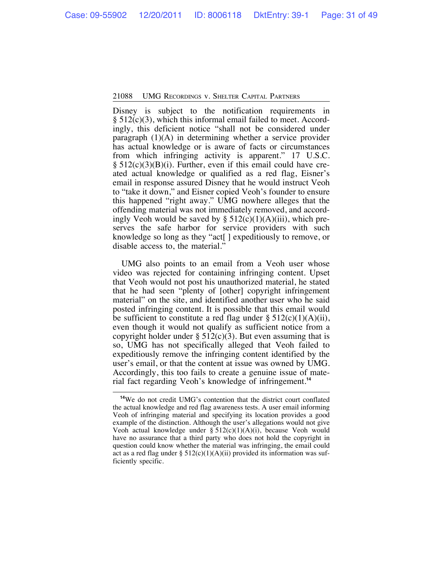Disney is subject to the notification requirements in § 512(c)(3), which this informal email failed to meet. Accordingly, this deficient notice "shall not be considered under paragraph (1)(A) in determining whether a service provider has actual knowledge or is aware of facts or circumstances from which infringing activity is apparent." 17 U.S.C.  $\S 512(c)(3)(B)(i)$ . Further, even if this email could have created actual knowledge or qualified as a red flag, Eisner's email in response assured Disney that he would instruct Veoh to "take it down," and Eisner copied Veoh's founder to ensure this happened "right away." UMG nowhere alleges that the offending material was not immediately removed, and accordingly Veoh would be saved by  $\S$  512(c)(1)(A)(iii), which preserves the safe harbor for service providers with such knowledge so long as they "act[ ] expeditiously to remove, or disable access to, the material.'

UMG also points to an email from a Veoh user whose video was rejected for containing infringing content. Upset that Veoh would not post his unauthorized material, he stated that he had seen "plenty of [other] copyright infringement material" on the site, and identified another user who he said posted infringing content. It is possible that this email would be sufficient to constitute a red flag under  $\S 512(c)(1)(A)(ii)$ , even though it would not qualify as sufficient notice from a copyright holder under  $\S 512(c)(3)$ . But even assuming that is so, UMG has not specifically alleged that Veoh failed to expeditiously remove the infringing content identified by the user's email, or that the content at issue was owned by UMG. Accordingly, this too fails to create a genuine issue of material fact regarding Veoh's knowledge of infringement.**<sup>14</sup>**

**<sup>14</sup>**We do not credit UMG's contention that the district court conflated the actual knowledge and red flag awareness tests. A user email informing Veoh of infringing material and specifying its location provides a good example of the distinction. Although the user's allegations would not give Veoh actual knowledge under  $\S$  512(c)(1)(A)(i), because Veoh would have no assurance that a third party who does not hold the copyright in question could know whether the material was infringing, the email could act as a red flag under §  $512(c)(1)(A)(ii)$  provided its information was sufficiently specific.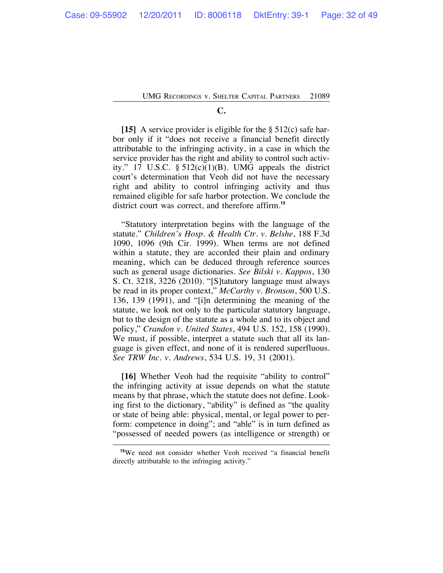### **C.**

**[15]** A service provider is eligible for the § 512(c) safe harbor only if it "does not receive a financial benefit directly attributable to the infringing activity, in a case in which the service provider has the right and ability to control such activity." 17 U.S.C.  $\S$  512(c)(1)(B). UMG appeals the district court's determination that Veoh did not have the necessary right and ability to control infringing activity and thus remained eligible for safe harbor protection. We conclude the district court was correct, and therefore affirm.**<sup>15</sup>**

"Statutory interpretation begins with the language of the statute." *Children's Hosp. & Health Ctr. v. Belshe*, 188 F.3d 1090, 1096 (9th Cir. 1999). When terms are not defined within a statute, they are accorded their plain and ordinary meaning, which can be deduced through reference sources such as general usage dictionaries. *See Bilski v. Kappos*, 130 S. Ct. 3218, 3226 (2010). "[S]tatutory language must always be read in its proper context," *McCarthy v. Bronson*, 500 U.S. 136, 139 (1991), and "[i]n determining the meaning of the statute, we look not only to the particular statutory language, but to the design of the statute as a whole and to its object and policy," *Crandon v. United States*, 494 U.S. 152, 158 (1990). We must, if possible, interpret a statute such that all its language is given effect, and none of it is rendered superfluous. *See TRW Inc. v. Andrews*, 534 U.S. 19, 31 (2001).

**[16]** Whether Veoh had the requisite "ability to control" the infringing activity at issue depends on what the statute means by that phrase, which the statute does not define. Looking first to the dictionary, "ability" is defined as "the quality or state of being able: physical, mental, or legal power to perform: competence in doing"; and "able" is in turn defined as "possessed of needed powers (as intelligence or strength) or

**<sup>15</sup>**We need not consider whether Veoh received "a financial benefit directly attributable to the infringing activity."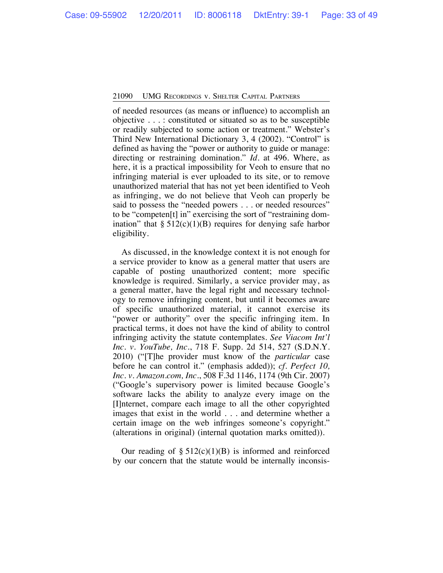of needed resources (as means or influence) to accomplish an objective . . . : constituted or situated so as to be susceptible or readily subjected to some action or treatment." Webster's Third New International Dictionary 3, 4 (2002). "Control" is defined as having the "power or authority to guide or manage: directing or restraining domination." *Id.* at 496. Where, as here, it is a practical impossibility for Veoh to ensure that no infringing material is ever uploaded to its site, or to remove unauthorized material that has not yet been identified to Veoh as infringing, we do not believe that Veoh can properly be said to possess the "needed powers . . . or needed resources" to be "competen[t] in" exercising the sort of "restraining domination" that  $\S 512(c)(1)(B)$  requires for denying safe harbor eligibility.

As discussed, in the knowledge context it is not enough for a service provider to know as a general matter that users are capable of posting unauthorized content; more specific knowledge is required. Similarly, a service provider may, as a general matter, have the legal right and necessary technology to remove infringing content, but until it becomes aware of specific unauthorized material, it cannot exercise its "power or authority" over the specific infringing item. In practical terms, it does not have the kind of ability to control infringing activity the statute contemplates. *See Viacom Int'l Inc. v. YouTube, Inc.*, 718 F. Supp. 2d 514, 527 (S.D.N.Y. 2010) ("[T]he provider must know of the *particular* case before he can control it." (emphasis added)); *cf. Perfect 10, Inc. v. Amazon.com, Inc.*, 508 F.3d 1146, 1174 (9th Cir. 2007) ("Google's supervisory power is limited because Google's software lacks the ability to analyze every image on the [I]nternet, compare each image to all the other copyrighted images that exist in the world . . . and determine whether a certain image on the web infringes someone's copyright." (alterations in original) (internal quotation marks omitted)).

Our reading of  $\S 512(c)(1)(B)$  is informed and reinforced by our concern that the statute would be internally inconsis-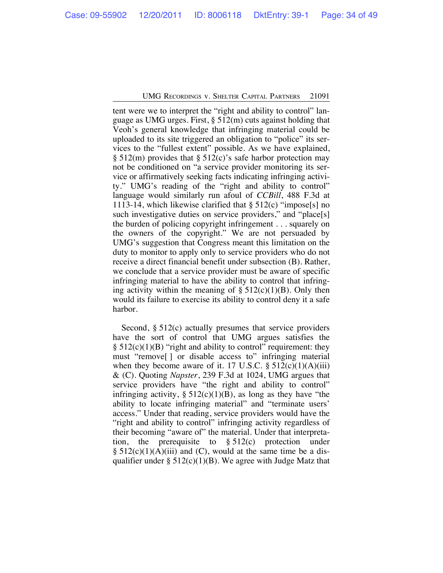tent were we to interpret the "right and ability to control" language as UMG urges. First, § 512(m) cuts against holding that Veoh's general knowledge that infringing material could be uploaded to its site triggered an obligation to "police" its services to the "fullest extent" possible. As we have explained,  $\S 512(m)$  provides that  $\S 512(c)$ 's safe harbor protection may not be conditioned on "a service provider monitoring its service or affirmatively seeking facts indicating infringing activity." UMG's reading of the "right and ability to control" language would similarly run afoul of *CCBill*, 488 F.3d at 1113-14, which likewise clarified that  $\S 512(c)$  "impose[s] no such investigative duties on service providers," and "place[s] the burden of policing copyright infringement . . . squarely on the owners of the copyright." We are not persuaded by UMG's suggestion that Congress meant this limitation on the duty to monitor to apply only to service providers who do not receive a direct financial benefit under subsection (B). Rather, we conclude that a service provider must be aware of specific infringing material to have the ability to control that infringing activity within the meaning of  $\S 512(c)(1)(B)$ . Only then would its failure to exercise its ability to control deny it a safe harbor.

Second, § 512(c) actually presumes that service providers have the sort of control that UMG argues satisfies the  $§ 512(c)(1)(B)$  "right and ability to control" requirement: they must "remove[ ] or disable access to" infringing material when they become aware of it. 17 U.S.C.  $\S$  512(c)(1)(A)(iii) & (C). Quoting *Napster*, 239 F.3d at 1024, UMG argues that service providers have "the right and ability to control" infringing activity,  $\S 512(c)(1)(B)$ , as long as they have "the ability to locate infringing material" and "terminate users' access." Under that reading, service providers would have the "right and ability to control" infringing activity regardless of their becoming "aware of" the material. Under that interpretation, the prerequisite to  $\S 512(c)$  protection under  $\S$  512(c)(1)(A)(iii) and (C), would at the same time be a disqualifier under  $\S 512(c)(1)(B)$ . We agree with Judge Matz that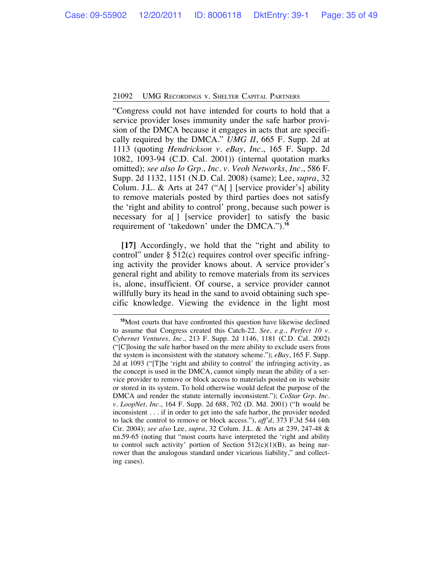"Congress could not have intended for courts to hold that a service provider loses immunity under the safe harbor provision of the DMCA because it engages in acts that are specifically required by the DMCA." *UMG II*, 665 F. Supp. 2d at 1113 (quoting *Hendrickson v. eBay, Inc.*, 165 F. Supp. 2d 1082, 1093-94 (C.D. Cal. 2001)) (internal quotation marks omitted); *see also Io Grp., Inc. v. Veoh Networks, Inc.*, 586 F. Supp. 2d 1132, 1151 (N.D. Cal. 2008) (same); Lee, *supra*, 32 Colum. J.L. & Arts at 247 ("A[ ] [service provider's] ability to remove materials posted by third parties does not satisfy the 'right and ability to control' prong, because such power is necessary for a<sup>[]</sup> [service provider] to satisfy the basic requirement of 'takedown' under the DMCA.").**<sup>16</sup>**

**[17]** Accordingly, we hold that the "right and ability to control" under § 512(c) requires control over specific infringing activity the provider knows about. A service provider's general right and ability to remove materials from its services is, alone, insufficient. Of course, a service provider cannot willfully bury its head in the sand to avoid obtaining such specific knowledge. Viewing the evidence in the light most

**<sup>16</sup>**Most courts that have confronted this question have likewise declined to assume that Congress created this Catch-22. *See, e.g.*, *Perfect 10 v. Cybernet Ventures, Inc.*, 213 F. Supp. 2d 1146, 1181 (C.D. Cal. 2002) ("[C]losing the safe harbor based on the mere ability to exclude users from the system is inconsistent with the statutory scheme."); *eBay*, 165 F. Supp. 2d at 1093 ("[T]he 'right and ability to control' the infringing activity, as the concept is used in the DMCA, cannot simply mean the ability of a service provider to remove or block access to materials posted on its website or stored in its system. To hold otherwise would defeat the purpose of the DMCA and render the statute internally inconsistent."); *CoStar Grp. Inc. v. LoopNet, Inc.*, 164 F. Supp. 2d 688, 702 (D. Md. 2001) ("It would be inconsistent . . . if in order to get into the safe harbor, the provider needed to lack the control to remove or block access."), *aff'd*, 373 F.3d 544 (4th Cir. 2004); *see also* Lee, *supra*, 32 Colum. J.L. & Arts at 239, 247-48 & nn.59-65 (noting that "most courts have interpreted the 'right and ability to control such activity' portion of Section  $512(c)(1)(B)$ , as being narrower than the analogous standard under vicarious liability," and collecting cases).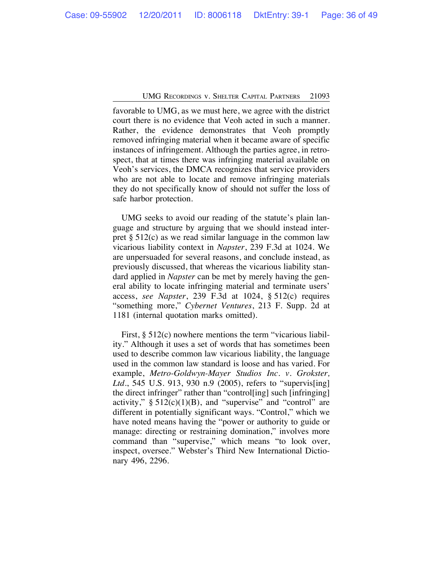favorable to UMG, as we must here, we agree with the district court there is no evidence that Veoh acted in such a manner. Rather, the evidence demonstrates that Veoh promptly removed infringing material when it became aware of specific instances of infringement. Although the parties agree, in retrospect, that at times there was infringing material available on Veoh's services, the DMCA recognizes that service providers who are not able to locate and remove infringing materials they do not specifically know of should not suffer the loss of safe harbor protection.

UMG seeks to avoid our reading of the statute's plain language and structure by arguing that we should instead interpret  $\S 512(c)$  as we read similar language in the common law vicarious liability context in *Napster*, 239 F.3d at 1024. We are unpersuaded for several reasons, and conclude instead, as previously discussed, that whereas the vicarious liability standard applied in *Napster* can be met by merely having the general ability to locate infringing material and terminate users' access, *see Napster*, 239 F.3d at 1024, § 512(c) requires "something more," *Cybernet Ventures*, 213 F. Supp. 2d at 1181 (internal quotation marks omitted).

First, § 512(c) nowhere mentions the term "vicarious liability." Although it uses a set of words that has sometimes been used to describe common law vicarious liability, the language used in the common law standard is loose and has varied. For example, *Metro-Goldwyn-Mayer Studios Inc. v. Grokster, Ltd.*, 545 U.S. 913, 930 n.9 (2005), refers to "supervis[ing] the direct infringer" rather than "control[ing] such [infringing] activity,"  $\S 512(c)(1)(B)$ , and "supervise" and "control" are different in potentially significant ways. "Control," which we have noted means having the "power or authority to guide or manage: directing or restraining domination," involves more command than "supervise," which means "to look over, inspect, oversee." Webster's Third New International Dictionary 496, 2296.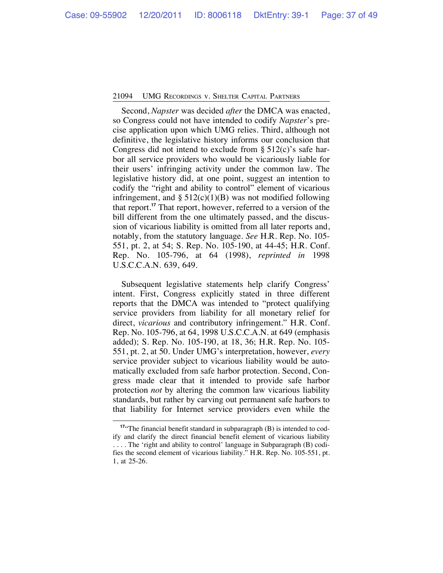Second, *Napster* was decided *after* the DMCA was enacted, so Congress could not have intended to codify *Napster*'s precise application upon which UMG relies. Third, although not definitive, the legislative history informs our conclusion that Congress did not intend to exclude from  $\S$  512(c)'s safe harbor all service providers who would be vicariously liable for their users' infringing activity under the common law. The legislative history did, at one point, suggest an intention to codify the "right and ability to control" element of vicarious infringement, and  $\S$  512(c)(1)(B) was not modified following that report.**<sup>17</sup>** That report, however, referred to a version of the bill different from the one ultimately passed, and the discussion of vicarious liability is omitted from all later reports and, notably, from the statutory language. *See* H.R. Rep. No. 105- 551, pt. 2, at 54; S. Rep. No. 105-190, at 44-45; H.R. Conf. Rep. No. 105-796, at 64 (1998), *reprinted in* 1998 U.S.C.C.A.N. 639, 649.

Subsequent legislative statements help clarify Congress' intent. First, Congress explicitly stated in three different reports that the DMCA was intended to "protect qualifying service providers from liability for all monetary relief for direct, *vicarious* and contributory infringement." H.R. Conf. Rep. No. 105-796, at 64, 1998 U.S.C.C.A.N. at 649 (emphasis added); S. Rep. No. 105-190, at 18, 36; H.R. Rep. No. 105- 551, pt. 2, at 50. Under UMG's interpretation, however, *every* service provider subject to vicarious liability would be automatically excluded from safe harbor protection. Second, Congress made clear that it intended to provide safe harbor protection *not* by altering the common law vicarious liability standards, but rather by carving out permanent safe harbors to that liability for Internet service providers even while the

<sup>&</sup>lt;sup>17"</sup>The financial benefit standard in subparagraph (B) is intended to codify and clarify the direct financial benefit element of vicarious liability . . . . The 'right and ability to control' language in Subparagraph (B) codifies the second element of vicarious liability." H.R. Rep. No. 105-551, pt. 1, at 25-26.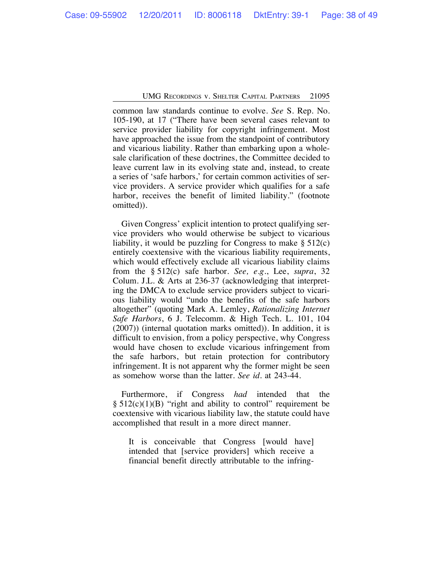common law standards continue to evolve. *See* S. Rep. No. 105-190, at 17 ("There have been several cases relevant to service provider liability for copyright infringement. Most have approached the issue from the standpoint of contributory and vicarious liability. Rather than embarking upon a wholesale clarification of these doctrines, the Committee decided to leave current law in its evolving state and, instead, to create a series of 'safe harbors,' for certain common activities of service providers. A service provider which qualifies for a safe harbor, receives the benefit of limited liability." (footnote omitted)).

Given Congress' explicit intention to protect qualifying service providers who would otherwise be subject to vicarious liability, it would be puzzling for Congress to make  $\S 512(c)$ entirely coextensive with the vicarious liability requirements, which would effectively exclude all vicarious liability claims from the § 512(c) safe harbor. *See, e.g.*, Lee, *supra*, 32 Colum. J.L. & Arts at 236-37 (acknowledging that interpreting the DMCA to exclude service providers subject to vicarious liability would "undo the benefits of the safe harbors altogether" (quoting Mark A. Lemley, *Rationalizing Internet Safe Harbors*, 6 J. Telecomm. & High Tech. L. 101, 104 (2007)) (internal quotation marks omitted)). In addition, it is difficult to envision, from a policy perspective, why Congress would have chosen to exclude vicarious infringement from the safe harbors, but retain protection for contributory infringement. It is not apparent why the former might be seen as somehow worse than the latter. *See id.* at 243-44.

Furthermore, if Congress *had* intended that the  $§ 512(c)(1)(B)$  "right and ability to control" requirement be coextensive with vicarious liability law, the statute could have accomplished that result in a more direct manner.

It is conceivable that Congress [would have] intended that [service providers] which receive a financial benefit directly attributable to the infring-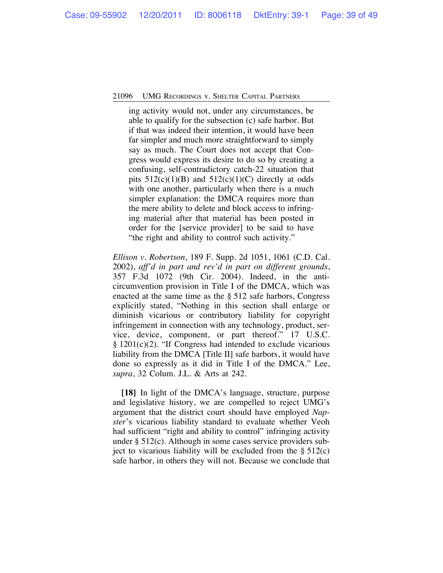ing activity would not, under any circumstances, be able to qualify for the subsection (c) safe harbor. But if that was indeed their intention, it would have been far simpler and much more straightforward to simply say as much. The Court does not accept that Congress would express its desire to do so by creating a confusing, self-contradictory catch-22 situation that pits  $512(c)(1)(B)$  and  $512(c)(1)(C)$  directly at odds with one another, particularly when there is a much simpler explanation: the DMCA requires more than the mere ability to delete and block access to infringing material after that material has been posted in order for the [service provider] to be said to have "the right and ability to control such activity."

*Ellison v. Robertson*, 189 F. Supp. 2d 1051, 1061 (C.D. Cal. 2002), *aff'd in part and rev'd in part on different grounds*, 357 F.3d 1072 (9th Cir. 2004). Indeed, in the anticircumvention provision in Title I of the DMCA, which was enacted at the same time as the § 512 safe harbors, Congress explicitly stated, "Nothing in this section shall enlarge or diminish vicarious or contributory liability for copyright infringement in connection with any technology, product, service, device, component, or part thereof." 17 U.S.C. § 1201(c)(2). "If Congress had intended to exclude vicarious liability from the DMCA [Title II] safe harbors, it would have done so expressly as it did in Title I of the DMCA." Lee, *supra*, 32 Colum. J.L. & Arts at 242.

**[18]** In light of the DMCA's language, structure, purpose and legislative history, we are compelled to reject UMG's argument that the district court should have employed *Napster*'s vicarious liability standard to evaluate whether Veoh had sufficient "right and ability to control" infringing activity under § 512(c). Although in some cases service providers subject to vicarious liability will be excluded from the  $\S 512(c)$ safe harbor, in others they will not. Because we conclude that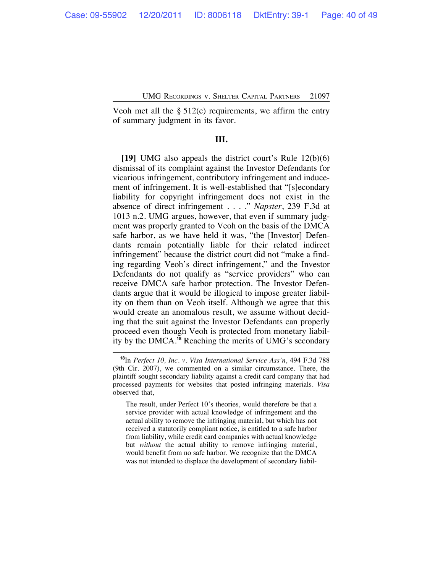Veoh met all the  $\S$  512(c) requirements, we affirm the entry of summary judgment in its favor.

# **III.**

**[19]** UMG also appeals the district court's Rule 12(b)(6) dismissal of its complaint against the Investor Defendants for vicarious infringement, contributory infringement and inducement of infringement. It is well-established that "[s]econdary liability for copyright infringement does not exist in the absence of direct infringement . . . ." *Napster*, 239 F.3d at 1013 n.2. UMG argues, however, that even if summary judgment was properly granted to Veoh on the basis of the DMCA safe harbor, as we have held it was, "the [Investor] Defendants remain potentially liable for their related indirect infringement" because the district court did not "make a finding regarding Veoh's direct infringement," and the Investor Defendants do not qualify as "service providers" who can receive DMCA safe harbor protection. The Investor Defendants argue that it would be illogical to impose greater liability on them than on Veoh itself. Although we agree that this would create an anomalous result, we assume without deciding that the suit against the Investor Defendants can properly proceed even though Veoh is protected from monetary liability by the DMCA.**<sup>18</sup>** Reaching the merits of UMG's secondary

**<sup>18</sup>**In *Perfect 10, Inc. v. Visa International Service Ass'n*, 494 F.3d 788 (9th Cir. 2007), we commented on a similar circumstance. There, the plaintiff sought secondary liability against a credit card company that had processed payments for websites that posted infringing materials. *Visa* observed that,

The result, under Perfect 10's theories, would therefore be that a service provider with actual knowledge of infringement and the actual ability to remove the infringing material, but which has not received a statutorily compliant notice, is entitled to a safe harbor from liability, while credit card companies with actual knowledge but *without* the actual ability to remove infringing material, would benefit from no safe harbor. We recognize that the DMCA was not intended to displace the development of secondary liabil-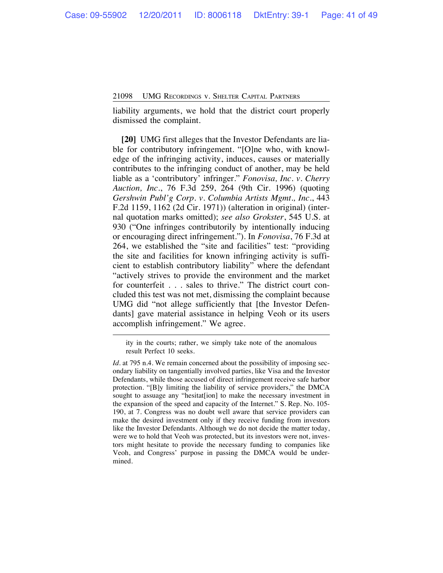liability arguments, we hold that the district court properly dismissed the complaint.

**[20]** UMG first alleges that the Investor Defendants are liable for contributory infringement. "[O]ne who, with knowledge of the infringing activity, induces, causes or materially contributes to the infringing conduct of another, may be held liable as a 'contributory' infringer." *Fonovisa, Inc. v. Cherry Auction, Inc.*, 76 F.3d 259, 264 (9th Cir. 1996) (quoting *Gershwin Publ'g Corp. v. Columbia Artists Mgmt., Inc.*, 443 F.2d 1159, 1162 (2d Cir. 1971)) (alteration in original) (internal quotation marks omitted); *see also Grokster*, 545 U.S. at 930 ("One infringes contributorily by intentionally inducing or encouraging direct infringement."). In *Fonovisa*, 76 F.3d at 264, we established the "site and facilities" test: "providing the site and facilities for known infringing activity is sufficient to establish contributory liability" where the defendant "actively strives to provide the environment and the market for counterfeit . . . sales to thrive." The district court concluded this test was not met, dismissing the complaint because UMG did "not allege sufficiently that [the Investor Defendants] gave material assistance in helping Veoh or its users accomplish infringement." We agree.

ity in the courts; rather, we simply take note of the anomalous result Perfect 10 seeks.

*Id.* at 795 n.4. We remain concerned about the possibility of imposing secondary liability on tangentially involved parties, like Visa and the Investor Defendants, while those accused of direct infringement receive safe harbor protection. "[B]y limiting the liability of service providers," the DMCA sought to assuage any "hesitat[ion] to make the necessary investment in the expansion of the speed and capacity of the Internet." S. Rep. No. 105- 190, at 7. Congress was no doubt well aware that service providers can make the desired investment only if they receive funding from investors like the Investor Defendants. Although we do not decide the matter today, were we to hold that Veoh was protected, but its investors were not, investors might hesitate to provide the necessary funding to companies like Veoh, and Congress' purpose in passing the DMCA would be undermined.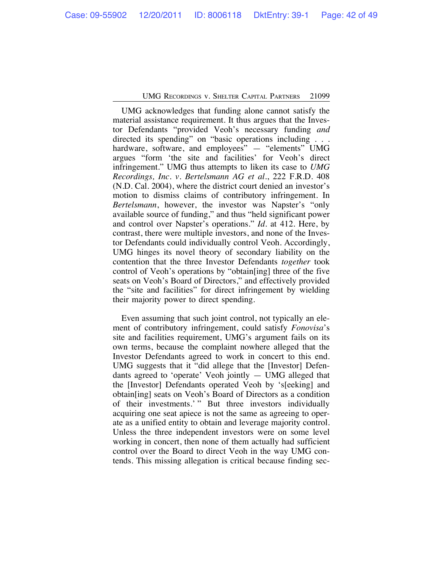UMG acknowledges that funding alone cannot satisfy the material assistance requirement. It thus argues that the Investor Defendants "provided Veoh's necessary funding *and* directed its spending" on "basic operations including . . . hardware, software, and employees" - "elements" UMG argues "form 'the site and facilities' for Veoh's direct infringement." UMG thus attempts to liken its case to *UMG Recordings, Inc. v. Bertelsmann AG et al.*, 222 F.R.D. 408 (N.D. Cal. 2004), where the district court denied an investor's motion to dismiss claims of contributory infringement. In *Bertelsmann*, however, the investor was Napster's "only available source of funding," and thus "held significant power and control over Napster's operations." *Id.* at 412. Here, by contrast, there were multiple investors, and none of the Investor Defendants could individually control Veoh. Accordingly, UMG hinges its novel theory of secondary liability on the contention that the three Investor Defendants *together* took control of Veoh's operations by "obtain[ing] three of the five seats on Veoh's Board of Directors," and effectively provided the "site and facilities" for direct infringement by wielding their majority power to direct spending.

Even assuming that such joint control, not typically an element of contributory infringement, could satisfy *Fonovisa*'s site and facilities requirement, UMG's argument fails on its own terms, because the complaint nowhere alleged that the Investor Defendants agreed to work in concert to this end. UMG suggests that it "did allege that the [Investor] Defendants agreed to 'operate' Veoh jointly — UMG alleged that the [Investor] Defendants operated Veoh by 's[eeking] and obtain[ing] seats on Veoh's Board of Directors as a condition of their investments.' " But three investors individually acquiring one seat apiece is not the same as agreeing to operate as a unified entity to obtain and leverage majority control. Unless the three independent investors were on some level working in concert, then none of them actually had sufficient control over the Board to direct Veoh in the way UMG contends. This missing allegation is critical because finding sec-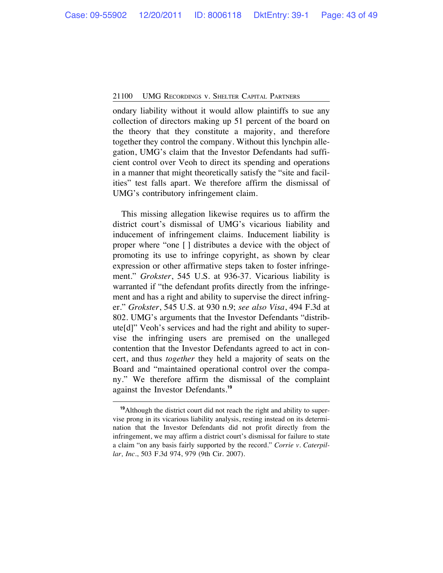ondary liability without it would allow plaintiffs to sue any collection of directors making up 51 percent of the board on the theory that they constitute a majority, and therefore together they control the company. Without this lynchpin allegation, UMG's claim that the Investor Defendants had sufficient control over Veoh to direct its spending and operations in a manner that might theoretically satisfy the "site and facilities" test falls apart. We therefore affirm the dismissal of UMG's contributory infringement claim.

This missing allegation likewise requires us to affirm the district court's dismissal of UMG's vicarious liability and inducement of infringement claims. Inducement liability is proper where "one [ ] distributes a device with the object of promoting its use to infringe copyright, as shown by clear expression or other affirmative steps taken to foster infringement." *Grokster*, 545 U.S. at 936-37. Vicarious liability is warranted if "the defendant profits directly from the infringement and has a right and ability to supervise the direct infringer." *Grokster*, 545 U.S. at 930 n.9; *see also Visa*, 494 F.3d at 802. UMG's arguments that the Investor Defendants "distribute[d]" Veoh's services and had the right and ability to supervise the infringing users are premised on the unalleged contention that the Investor Defendants agreed to act in concert, and thus *together* they held a majority of seats on the Board and "maintained operational control over the company." We therefore affirm the dismissal of the complaint against the Investor Defendants.**<sup>19</sup>**

**<sup>19</sup>**Although the district court did not reach the right and ability to supervise prong in its vicarious liability analysis, resting instead on its determination that the Investor Defendants did not profit directly from the infringement, we may affirm a district court's dismissal for failure to state a claim "on any basis fairly supported by the record." *Corrie v. Caterpillar, Inc.*, 503 F.3d 974, 979 (9th Cir. 2007).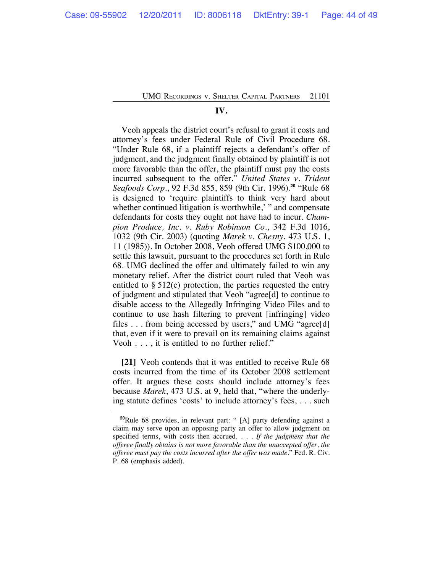# **IV.**

Veoh appeals the district court's refusal to grant it costs and attorney's fees under Federal Rule of Civil Procedure 68. "Under Rule 68, if a plaintiff rejects a defendant's offer of judgment, and the judgment finally obtained by plaintiff is not more favorable than the offer, the plaintiff must pay the costs incurred subsequent to the offer." *United States v. Trident Seafoods Corp.*, 92 F.3d 855, 859 (9th Cir. 1996).**<sup>20</sup>** "Rule 68 is designed to 'require plaintiffs to think very hard about whether continued litigation is worthwhile,' " and compensate defendants for costs they ought not have had to incur. *Champion Produce, Inc. v. Ruby Robinson Co.*, 342 F.3d 1016, 1032 (9th Cir. 2003) (quoting *Marek v. Chesny*, 473 U.S. 1, 11 (1985)). In October 2008, Veoh offered UMG \$100,000 to settle this lawsuit, pursuant to the procedures set forth in Rule 68. UMG declined the offer and ultimately failed to win any monetary relief. After the district court ruled that Veoh was entitled to § 512(c) protection, the parties requested the entry of judgment and stipulated that Veoh "agree[d] to continue to disable access to the Allegedly Infringing Video Files and to continue to use hash filtering to prevent [infringing] video files . . . from being accessed by users," and UMG "agree[d] that, even if it were to prevail on its remaining claims against Veoh . . . , it is entitled to no further relief."

**[21]** Veoh contends that it was entitled to receive Rule 68 costs incurred from the time of its October 2008 settlement offer. It argues these costs should include attorney's fees because *Marek*, 473 U.S. at 9, held that, "where the underlying statute defines 'costs' to include attorney's fees, . . . such

**<sup>20</sup>**Rule 68 provides, in relevant part: " [A] party defending against a claim may serve upon an opposing party an offer to allow judgment on specified terms, with costs then accrued. . . . *If the judgment that the offeree finally obtains is not more favorable than the unaccepted offer, the offeree must pay the costs incurred after the offer was made.*" Fed. R. Civ. P. 68 (emphasis added).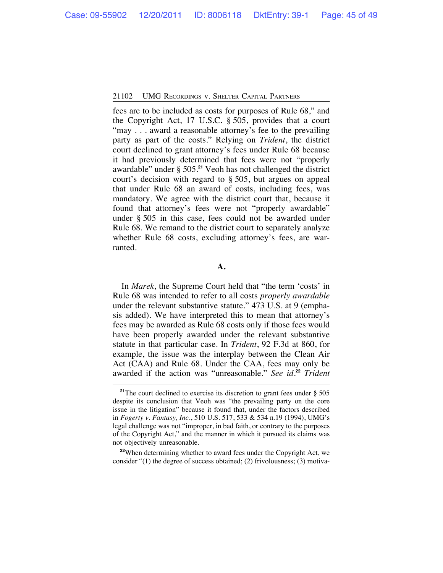fees are to be included as costs for purposes of Rule 68," and the Copyright Act, 17 U.S.C. § 505, provides that a court "may . . . award a reasonable attorney's fee to the prevailing party as part of the costs." Relying on *Trident*, the district court declined to grant attorney's fees under Rule 68 because it had previously determined that fees were not "properly awardable" under § 505.**<sup>21</sup>** Veoh has not challenged the district court's decision with regard to § 505, but argues on appeal that under Rule 68 an award of costs, including fees, was mandatory. We agree with the district court that, because it found that attorney's fees were not "properly awardable" under § 505 in this case, fees could not be awarded under Rule 68. We remand to the district court to separately analyze whether Rule 68 costs, excluding attorney's fees, are warranted.

#### **A.**

In *Marek*, the Supreme Court held that "the term 'costs' in Rule 68 was intended to refer to all costs *properly awardable* under the relevant substantive statute." 473 U.S. at 9 (emphasis added). We have interpreted this to mean that attorney's fees may be awarded as Rule 68 costs only if those fees would have been properly awarded under the relevant substantive statute in that particular case. In *Trident*, 92 F.3d at 860, for example, the issue was the interplay between the Clean Air Act (CAA) and Rule 68. Under the CAA, fees may only be awarded if the action was "unreasonable." *See id.***<sup>22</sup>** *Trident*

<sup>22</sup>When determining whether to award fees under the Copyright Act, we consider "(1) the degree of success obtained; (2) frivolousness; (3) motiva-

<sup>&</sup>lt;sup>21</sup>The court declined to exercise its discretion to grant fees under § 505 despite its conclusion that Veoh was "the prevailing party on the core issue in the litigation" because it found that, under the factors described in *Fogerty v. Fantasy, Inc.*, 510 U.S. 517, 533 & 534 n.19 (1994), UMG's legal challenge was not "improper, in bad faith, or contrary to the purposes of the Copyright Act," and the manner in which it pursued its claims was not objectively unreasonable.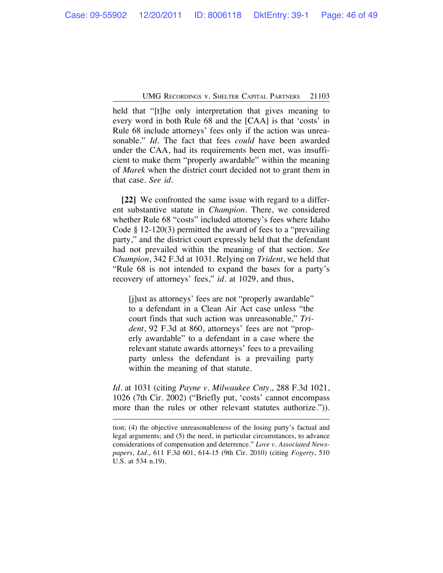held that "[t]he only interpretation that gives meaning to every word in both Rule 68 and the [CAA] is that 'costs' in Rule 68 include attorneys' fees only if the action was unreasonable." *Id.* The fact that fees *could* have been awarded under the CAA, had its requirements been met, was insufficient to make them "properly awardable" within the meaning of *Marek* when the district court decided not to grant them in that case. *See id*.

**[22]** We confronted the same issue with regard to a different substantive statute in *Champion*. There, we considered whether Rule 68 "costs" included attorney's fees where Idaho Code § 12-120(3) permitted the award of fees to a "prevailing party," and the district court expressly held that the defendant had not prevailed within the meaning of that section. *See Champion*, 342 F.3d at 1031. Relying on *Trident*, we held that "Rule 68 is not intended to expand the bases for a party's recovery of attorneys' fees," *id.* at 1029, and thus,

[j]ust as attorneys' fees are not "properly awardable" to a defendant in a Clean Air Act case unless "the court finds that such action was unreasonable," *Trident*, 92 F.3d at 860, attorneys' fees are not "properly awardable" to a defendant in a case where the relevant statute awards attorneys' fees to a prevailing party unless the defendant is a prevailing party within the meaning of that statute.

*Id.* at 1031 (citing *Payne v. Milwaukee Cnty.*, 288 F.3d 1021, 1026 (7th Cir. 2002) ("Briefly put, 'costs' cannot encompass more than the rules or other relevant statutes authorize.")).

tion; (4) the objective unreasonableness of the losing party's factual and legal arguments; and (5) the need, in particular circumstances, to advance considerations of compensation and deterrence." *Love v. Associated Newspapers, Ltd.*, 611 F.3d 601, 614-15 (9th Cir. 2010) (citing *Fogerty*, 510 U.S. at 534 n.19).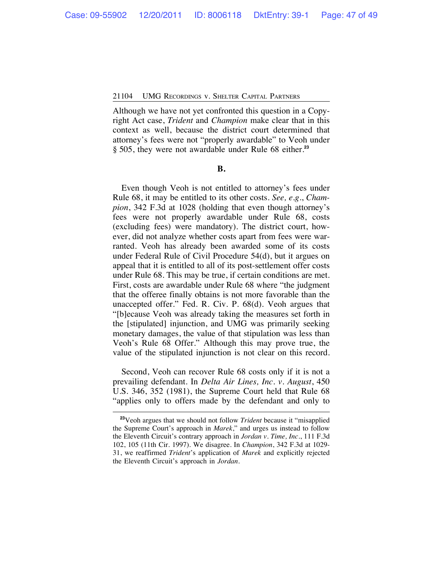Although we have not yet confronted this question in a Copyright Act case, *Trident* and *Champion* make clear that in this context as well, because the district court determined that attorney's fees were not "properly awardable" to Veoh under § 505, they were not awardable under Rule 68 either.**<sup>23</sup>**

# **B.**

Even though Veoh is not entitled to attorney's fees under Rule 68, it may be entitled to its other costs. *See, e.g.*, *Champion*, 342 F.3d at 1028 (holding that even though attorney's fees were not properly awardable under Rule 68, costs (excluding fees) were mandatory). The district court, however, did not analyze whether costs apart from fees were warranted. Veoh has already been awarded some of its costs under Federal Rule of Civil Procedure 54(d), but it argues on appeal that it is entitled to all of its post-settlement offer costs under Rule 68. This may be true, if certain conditions are met. First, costs are awardable under Rule 68 where "the judgment that the offeree finally obtains is not more favorable than the unaccepted offer." Fed. R. Civ. P. 68(d). Veoh argues that "[b]ecause Veoh was already taking the measures set forth in the [stipulated] injunction, and UMG was primarily seeking monetary damages, the value of that stipulation was less than Veoh's Rule 68 Offer." Although this may prove true, the value of the stipulated injunction is not clear on this record.

Second, Veoh can recover Rule 68 costs only if it is not a prevailing defendant. In *Delta Air Lines, Inc. v. August*, 450 U.S. 346, 352 (1981), the Supreme Court held that Rule 68 "applies only to offers made by the defendant and only to

**<sup>23</sup>**Veoh argues that we should not follow *Trident* because it "misapplied the Supreme Court's approach in *Marek*," and urges us instead to follow the Eleventh Circuit's contrary approach in *Jordan v. Time, Inc.*, 111 F.3d 102, 105 (11th Cir. 1997). We disagree. In *Champion*, 342 F.3d at 1029- 31, we reaffirmed *Trident*'s application of *Marek* and explicitly rejected the Eleventh Circuit's approach in *Jordan*.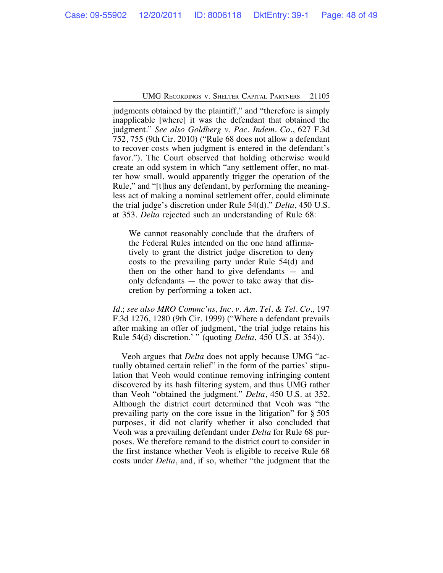judgments obtained by the plaintiff," and "therefore is simply inapplicable [where] it was the defendant that obtained the judgment." *See also Goldberg v. Pac. Indem. Co.*, 627 F.3d 752, 755 (9th Cir. 2010) ("Rule 68 does not allow a defendant to recover costs when judgment is entered in the defendant's favor."). The Court observed that holding otherwise would create an odd system in which "any settlement offer, no matter how small, would apparently trigger the operation of the Rule," and "[t]hus any defendant, by performing the meaningless act of making a nominal settlement offer, could eliminate the trial judge's discretion under Rule 54(d)." *Delta*, 450 U.S. at 353. *Delta* rejected such an understanding of Rule 68:

We cannot reasonably conclude that the drafters of the Federal Rules intended on the one hand affirmatively to grant the district judge discretion to deny costs to the prevailing party under Rule 54(d) and then on the other hand to give defendants — and only defendants — the power to take away that discretion by performing a token act.

*Id.*; *see also MRO Commc'ns, Inc. v. Am. Tel. & Tel. Co.*, 197 F.3d 1276, 1280 (9th Cir. 1999) ("Where a defendant prevails after making an offer of judgment, 'the trial judge retains his Rule 54(d) discretion.' " (quoting *Delta*, 450 U.S. at 354)).

Veoh argues that *Delta* does not apply because UMG "actually obtained certain relief" in the form of the parties' stipulation that Veoh would continue removing infringing content discovered by its hash filtering system, and thus UMG rather than Veoh "obtained the judgment." *Delta*, 450 U.S. at 352. Although the district court determined that Veoh was "the prevailing party on the core issue in the litigation" for § 505 purposes, it did not clarify whether it also concluded that Veoh was a prevailing defendant under *Delta* for Rule 68 purposes. We therefore remand to the district court to consider in the first instance whether Veoh is eligible to receive Rule 68 costs under *Delta*, and, if so, whether "the judgment that the